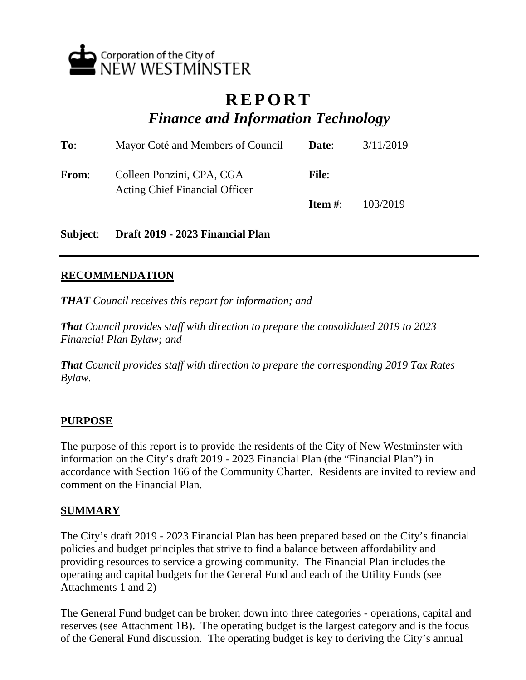

## **REPORT** *Finance and Information Technology*

| To:          | Mayor Coté and Members of Council                                  | Date:        | 3/11/2019 |
|--------------|--------------------------------------------------------------------|--------------|-----------|
| <b>From:</b> | Colleen Ponzini, CPA, CGA<br><b>Acting Chief Financial Officer</b> | <b>File:</b> |           |
|              |                                                                    | Item $#$ :   | 103/2019  |

**Subject**: **Draft 2019 - 2023 Financial Plan**

## **RECOMMENDATION**

*THAT Council receives this report for information; and*

*That Council provides staff with direction to prepare the consolidated 2019 to 2023 Financial Plan Bylaw; and*

*That Council provides staff with direction to prepare the corresponding 2019 Tax Rates Bylaw.*

## **PURPOSE**

The purpose of this report is to provide the residents of the City of New Westminster with information on the City's draft 2019 - 2023 Financial Plan (the "Financial Plan") in accordance with Section 166 of the Community Charter. Residents are invited to review and comment on the Financial Plan.

### **SUMMARY**

The City's draft 2019 - 2023 Financial Plan has been prepared based on the City's financial policies and budget principles that strive to find a balance between affordability and providing resources to service a growing community. The Financial Plan includes the operating and capital budgets for the General Fund and each of the Utility Funds (see Attachments 1 and 2)

The General Fund budget can be broken down into three categories - operations, capital and reserves (see Attachment 1B). The operating budget is the largest category and is the focus of the General Fund discussion. The operating budget is key to deriving the City's annual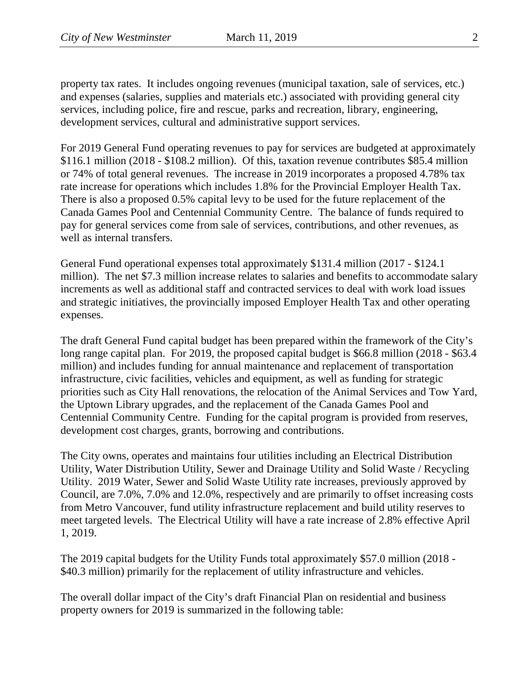property tax rates. It includes ongoing revenues (municipal taxation, sale of services, etc.) and expenses (salaries, supplies and materials etc.) associated with providing general city services, including police, fire and rescue, parks and recreation, library, engineering, development services, cultural and administrative support services.

For 2019 General Fund operating revenues to pay for services are budgeted at approximately \$116.1 million (2018 - \$108.2 million). Of this, taxation revenue contributes \$85.4 million or 74% of total general revenues. The increase in 2019 incorporates a proposed 4.78% tax rate increase for operations which includes 1.8% for the Provincial Employer Health Tax. There is also a proposed 0.5% capital levy to be used for the future replacement of the Canada Games Pool and Centennial Community Centre. The balance of funds required to pay for general services come from sale of services, contributions, and other revenues, as well as internal transfers.

General Fund operational expenses total approximately \$131.4 million (2017 - \$124.1 million). The net \$7.3 million increase relates to salaries and benefits to accommodate salary increments as well as additional staff and contracted services to deal with work load issues and strategic initiatives, the provincially imposed Employer Health Tax and other operating expenses.

The draft General Fund capital budget has been prepared within the framework of the City's long range capital plan. For 2019, the proposed capital budget is \$66.8 million (2018 - \$63.4) million) and includes funding for annual maintenance and replacement of transportation infrastructure, civic facilities, vehicles and equipment, as well as funding for strategic priorities such as City Hall renovations, the relocation of the Animal Services and Tow Yard, the Uptown Library upgrades, and the replacement of the Canada Games Pool and Centennial Community Centre. Funding for the capital program is provided from reserves, development cost charges, grants, borrowing and contributions.

The City owns, operates and maintains four utilities including an Electrical Distribution Utility, Water Distribution Utility, Sewer and Drainage Utility and Solid Waste / Recycling Utility. 2019 Water, Sewer and Solid Waste Utility rate increases, previously approved by Council, are 7.0%, 7.0% and 12.0%, respectively and are primarily to offset increasing costs from Metro Vancouver, fund utility infrastructure replacement and build utility reserves to meet targeted levels. The Electrical Utility will have a rate increase of 2.8% effective April 1, 2019.

The 2019 capital budgets for the Utility Funds total approximately \$57.0 million (2018 - \$40.3 million) primarily for the replacement of utility infrastructure and vehicles.

The overall dollar impact of the City's draft Financial Plan on residential and business property owners for 2019 is summarized in the following table: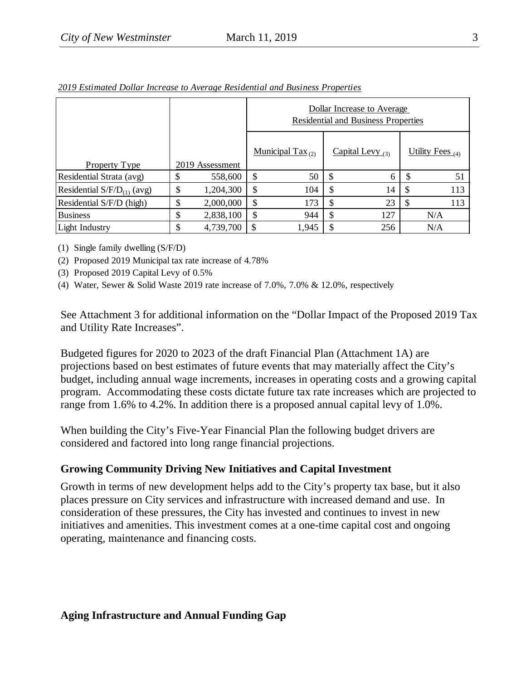|                                 |    |                 |                     | Dollar Increase to Average<br><b>Residential and Business Properties</b> |    |                    |
|---------------------------------|----|-----------------|---------------------|--------------------------------------------------------------------------|----|--------------------|
| <b>Property Type</b>            |    | 2019 Assessment | Municipal Tax $(2)$ | Capital Levy $_{(3)}$                                                    |    | Utility Fees $(4)$ |
| Residential Strata (avg)        | J  | 558,600         | \$<br>50            | \$<br>6                                                                  |    | 51                 |
| Residential $S/F/D_{(1)}$ (avg) | \$ | 1,204,300       | \$<br>104           | \$<br>14                                                                 | \$ | 113                |
| Residential S/F/D (high)        | J  | 2,000,000       | \$<br>173           | \$<br>23                                                                 | S  | 113                |
| <b>Business</b>                 | \$ | 2,838,100       | \$<br>944           | \$<br>127                                                                |    | N/A                |
| Light Industry                  | \$ | 4,739,700       | \$<br>1,945         | \$<br>256                                                                |    | N/A                |

*2019 Estimated Dollar Increase to Average Residential and Business Properties*

(1) Single family dwelling (S/F/D)

(2) Proposed 2019 Municipal tax rate increase of 4.78%

(3) Proposed 2019 Capital Levy of 0.5%

(4) Water, Sewer & Solid Waste 2019 rate increase of 7.0%, 7.0% & 12.0%, respectively

See Attachment 3 for additional information on the "Dollar Impact of the Proposed 2019 Tax and Utility Rate Increases".

Budgeted figures for 2020 to 2023 of the draft Financial Plan (Attachment 1A) are projections based on best estimates of future events that may materially affect the City's budget, including annual wage increments, increases in operating costs and a growing capital program. Accommodating these costs dictate future tax rate increases which are projected to range from 1.6% to 4.2%. In addition there is a proposed annual capital levy of 1.0%.

When building the City's Five-Year Financial Plan the following budget drivers are considered and factored into long range financial projections.

## **Growing Community Driving New Initiatives and Capital Investment**

Growth in terms of new development helps add to the City's property tax base, but it also places pressure on City services and infrastructure with increased demand and use. In consideration of these pressures, the City has invested and continues to invest in new initiatives and amenities. This investment comes at a one-time capital cost and ongoing operating, maintenance and financing costs.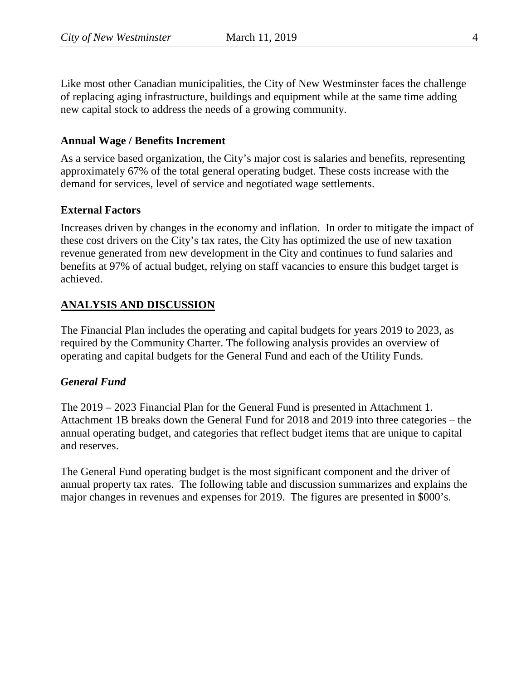Like most other Canadian municipalities, the City of New Westminster faces the challenge of replacing aging infrastructure, buildings and equipment while at the same time adding new capital stock to address the needs of a growing community.

### **Annual Wage / Benefits Increment**

As a service based organization, the City's major cost is salaries and benefits, representing approximately 67% of the total general operating budget. These costs increase with the demand for services, level of service and negotiated wage settlements.

### **External Factors**

Increases driven by changes in the economy and inflation. In order to mitigate the impact of these cost drivers on the City's tax rates, the City has optimized the use of new taxation revenue generated from new development in the City and continues to fund salaries and benefits at 97% of actual budget, relying on staff vacancies to ensure this budget target is achieved.

## **ANALYSIS AND DISCUSSION**

The Financial Plan includes the operating and capital budgets for years 2019 to 2023, as required by the Community Charter. The following analysis provides an overview of operating and capital budgets for the General Fund and each of the Utility Funds.

## *General Fund*

The 2019 – 2023 Financial Plan for the General Fund is presented in Attachment 1. Attachment 1B breaks down the General Fund for 2018 and 2019 into three categories – the annual operating budget, and categories that reflect budget items that are unique to capital and reserves.

The General Fund operating budget is the most significant component and the driver of annual property tax rates. The following table and discussion summarizes and explains the major changes in revenues and expenses for 2019. The figures are presented in \$000's.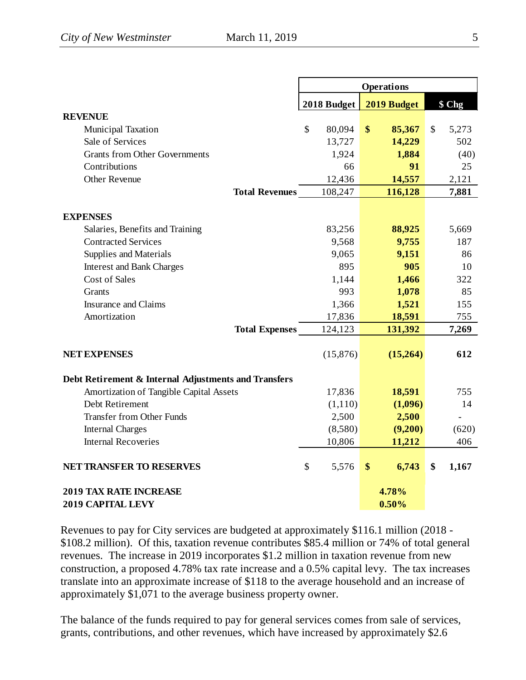|                                                      |              | <b>Operations</b>           |             |
|------------------------------------------------------|--------------|-----------------------------|-------------|
|                                                      | 2018 Budget  | 2019 Budget                 | \$ Chg      |
| <b>REVENUE</b>                                       |              |                             |             |
| <b>Municipal Taxation</b>                            | \$<br>80,094 | $\boldsymbol{\$}$<br>85,367 | \$<br>5,273 |
| Sale of Services                                     | 13,727       | 14,229                      | 502         |
| <b>Grants from Other Governments</b>                 | 1,924        | 1,884                       | (40)        |
| Contributions                                        | 66           | 91                          | 25          |
| <b>Other Revenue</b>                                 | 12,436       | 14,557                      | 2,121       |
| <b>Total Revenues</b>                                | 108,247      | 116,128                     | 7,881       |
| <b>EXPENSES</b>                                      |              |                             |             |
| Salaries, Benefits and Training                      | 83,256       | 88,925                      | 5,669       |
| <b>Contracted Services</b>                           | 9,568        | 9,755                       | 187         |
| Supplies and Materials                               | 9,065        | 9,151                       | 86          |
| <b>Interest and Bank Charges</b>                     | 895          | 905                         | 10          |
| <b>Cost of Sales</b>                                 | 1,144        | 1,466                       | 322         |
| <b>Grants</b>                                        | 993          | 1,078                       | 85          |
| <b>Insurance and Claims</b>                          | 1,366        | 1,521                       | 155         |
| Amortization                                         | 17,836       | 18,591                      | 755         |
| <b>Total Expenses</b>                                | 124,123      | 131,392                     | 7,269       |
| <b>NET EXPENSES</b>                                  | (15,876)     | (15,264)                    | 612         |
| Debt Retirement & Internal Adjustments and Transfers |              |                             |             |
| Amortization of Tangible Capital Assets              | 17,836       | 18,591                      | 755         |
| Debt Retirement                                      | (1,110)      | (1,096)                     | 14          |
| <b>Transfer from Other Funds</b>                     | 2,500        | 2,500                       |             |
| <b>Internal Charges</b>                              | (8,580)      | (9,200)                     | (620)       |
| <b>Internal Recoveries</b>                           | 10,806       | 11,212                      | 406         |
| <b>NET TRANSFER TO RESERVES</b>                      | \$<br>5,576  | 6,743<br>\$                 | \$<br>1,167 |
| <b>2019 TAX RATE INCREASE</b>                        |              | 4.78%                       |             |
| <b>2019 CAPITAL LEVY</b>                             |              | 0.50%                       |             |

Revenues to pay for City services are budgeted at approximately \$116.1 million (2018 - \$108.2 million). Of this, taxation revenue contributes \$85.4 million or 74% of total general revenues. The increase in 2019 incorporates \$1.2 million in taxation revenue from new construction, a proposed 4.78% tax rate increase and a 0.5% capital levy. The tax increases translate into an approximate increase of \$118 to the average household and an increase of approximately \$1,071 to the average business property owner.

The balance of the funds required to pay for general services comes from sale of services, grants, contributions, and other revenues, which have increased by approximately \$2.6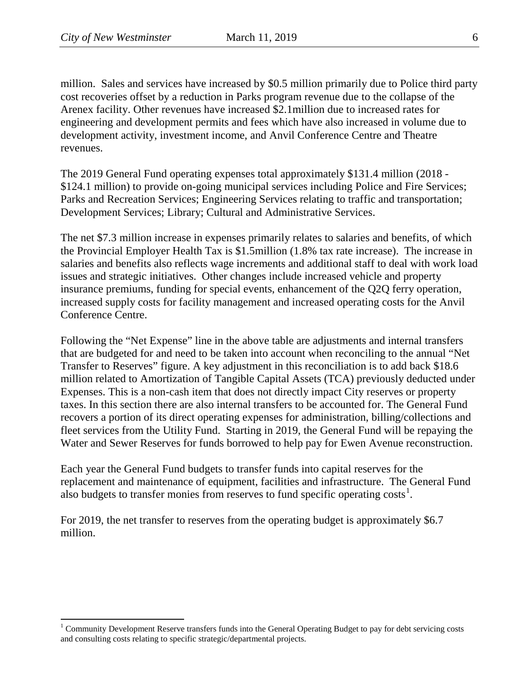l

million. Sales and services have increased by \$0.5 million primarily due to Police third party cost recoveries offset by a reduction in Parks program revenue due to the collapse of the Arenex facility. Other revenues have increased \$2.1million due to increased rates for engineering and development permits and fees which have also increased in volume due to development activity, investment income, and Anvil Conference Centre and Theatre revenues.

The 2019 General Fund operating expenses total approximately \$131.4 million (2018 - \$124.1 million) to provide on-going municipal services including Police and Fire Services; Parks and Recreation Services; Engineering Services relating to traffic and transportation; Development Services; Library; Cultural and Administrative Services.

The net \$7.3 million increase in expenses primarily relates to salaries and benefits, of which the Provincial Employer Health Tax is \$1.5million (1.8% tax rate increase). The increase in salaries and benefits also reflects wage increments and additional staff to deal with work load issues and strategic initiatives. Other changes include increased vehicle and property insurance premiums, funding for special events, enhancement of the Q2Q ferry operation, increased supply costs for facility management and increased operating costs for the Anvil Conference Centre.

Following the "Net Expense" line in the above table are adjustments and internal transfers that are budgeted for and need to be taken into account when reconciling to the annual "Net Transfer to Reserves" figure. A key adjustment in this reconciliation is to add back \$18.6 million related to Amortization of Tangible Capital Assets (TCA) previously deducted under Expenses. This is a non-cash item that does not directly impact City reserves or property taxes. In this section there are also internal transfers to be accounted for. The General Fund recovers a portion of its direct operating expenses for administration, billing/collections and fleet services from the Utility Fund. Starting in 2019, the General Fund will be repaying the Water and Sewer Reserves for funds borrowed to help pay for Ewen Avenue reconstruction.

Each year the General Fund budgets to transfer funds into capital reserves for the replacement and maintenance of equipment, facilities and infrastructure. The General Fund also budgets to transfer monies from reserves to fund specific operating  $costs<sup>1</sup>$  $costs<sup>1</sup>$  $costs<sup>1</sup>$ .

For 2019, the net transfer to reserves from the operating budget is approximately \$6.7 million.

<span id="page-5-0"></span><sup>&</sup>lt;sup>1</sup> Community Development Reserve transfers funds into the General Operating Budget to pay for debt servicing costs and consulting costs relating to specific strategic/departmental projects.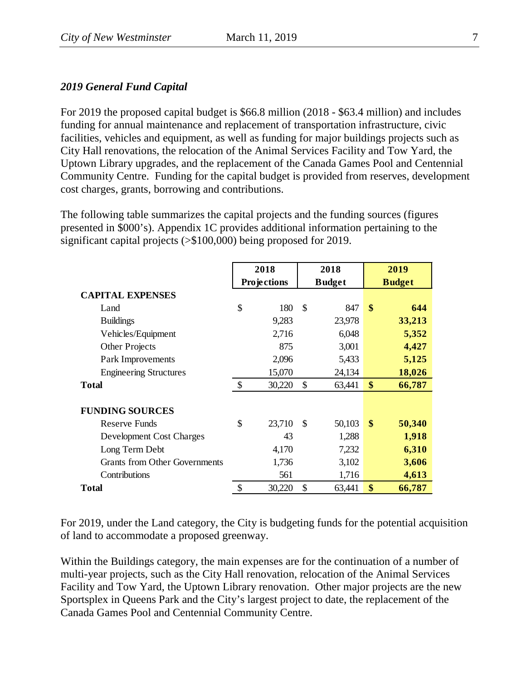## *2019 General Fund Capital*

For 2019 the proposed capital budget is \$66.8 million (2018 - \$63.4 million) and includes funding for annual maintenance and replacement of transportation infrastructure, civic facilities, vehicles and equipment, as well as funding for major buildings projects such as City Hall renovations, the relocation of the Animal Services Facility and Tow Yard, the Uptown Library upgrades, and the replacement of the Canada Games Pool and Centennial Community Centre. Funding for the capital budget is provided from reserves, development cost charges, grants, borrowing and contributions.

The following table summarizes the capital projects and the funding sources (figures presented in \$000's). Appendix 1C provides additional information pertaining to the significant capital projects (>\$100,000) being proposed for 2019.

|                                      |               | 2018        |               | 2018          |               | 2019          |
|--------------------------------------|---------------|-------------|---------------|---------------|---------------|---------------|
|                                      |               | Projections |               | <b>Budget</b> |               | <b>Budget</b> |
| <b>CAPITAL EXPENSES</b>              |               |             |               |               |               |               |
| Land                                 | \$            | 180         | $\mathcal{S}$ | 847           | $\mathbf{\$}$ | 644           |
| <b>Buildings</b>                     |               | 9,283       |               | 23,978        |               | 33,213        |
| Vehicles/Equipment                   |               | 2,716       |               | 6,048         |               | 5,352         |
| <b>Other Projects</b>                |               | 875         |               | 3,001         |               | 4,427         |
| Park Improvements                    |               | 2,096       |               | 5,433         |               | 5,125         |
| <b>Engineering Structures</b>        |               | 15,070      |               | 24,134        |               | 18,026        |
| <b>Total</b>                         | $\mathcal{S}$ | 30,220      | \$            | 63,441        | \$            | 66,787        |
|                                      |               |             |               |               |               |               |
| <b>FUNDING SOURCES</b>               |               |             |               |               |               |               |
| Reserve Funds                        | \$            | 23,710      | $\mathbb{S}$  | 50,103        | $\mathbf{\$}$ | 50,340        |
| Development Cost Charges             |               | 43          |               | 1,288         |               | 1,918         |
| Long Term Debt                       |               | 4,170       |               | 7,232         |               | 6,310         |
| <b>Grants from Other Governments</b> |               | 1,736       |               | 3,102         |               | 3,606         |
| Contributions                        |               | 561         |               | 1,716         |               | 4,613         |
| <b>Total</b>                         | \$            | 30,220      | \$            | 63,441        | \$            | 66,787        |

For 2019, under the Land category, the City is budgeting funds for the potential acquisition of land to accommodate a proposed greenway.

Within the Buildings category, the main expenses are for the continuation of a number of multi-year projects, such as the City Hall renovation, relocation of the Animal Services Facility and Tow Yard, the Uptown Library renovation. Other major projects are the new Sportsplex in Queens Park and the City's largest project to date, the replacement of the Canada Games Pool and Centennial Community Centre.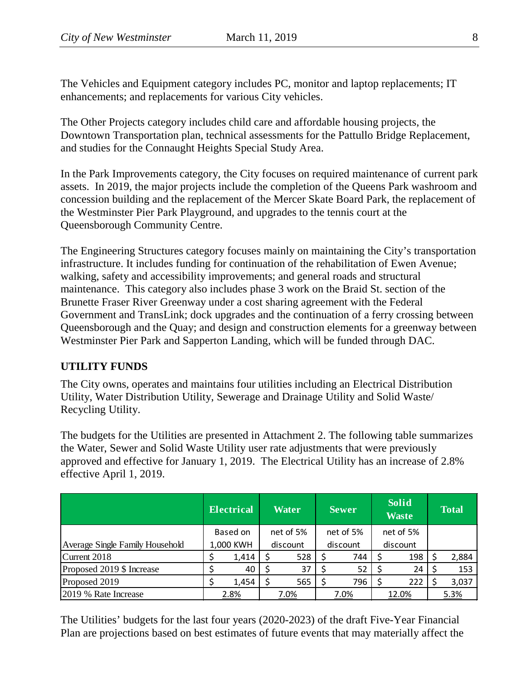The Vehicles and Equipment category includes PC, monitor and laptop replacements; IT enhancements; and replacements for various City vehicles.

The Other Projects category includes child care and affordable housing projects, the Downtown Transportation plan, technical assessments for the Pattullo Bridge Replacement, and studies for the Connaught Heights Special Study Area.

In the Park Improvements category, the City focuses on required maintenance of current park assets. In 2019, the major projects include the completion of the Queens Park washroom and concession building and the replacement of the Mercer Skate Board Park, the replacement of the Westminster Pier Park Playground, and upgrades to the tennis court at the Queensborough Community Centre.

The Engineering Structures category focuses mainly on maintaining the City's transportation infrastructure. It includes funding for continuation of the rehabilitation of Ewen Avenue; walking, safety and accessibility improvements; and general roads and structural maintenance. This category also includes phase 3 work on the Braid St. section of the Brunette Fraser River Greenway under a cost sharing agreement with the Federal Government and TransLink; dock upgrades and the continuation of a ferry crossing between Queensborough and the Quay; and design and construction elements for a greenway between Westminster Pier Park and Sapperton Landing, which will be funded through DAC.

## **UTILITY FUNDS**

The City owns, operates and maintains four utilities including an Electrical Distribution Utility, Water Distribution Utility, Sewerage and Drainage Utility and Solid Waste/ Recycling Utility.

The budgets for the Utilities are presented in Attachment 2. The following table summarizes the Water, Sewer and Solid Waste Utility user rate adjustments that were previously approved and effective for January 1, 2019. The Electrical Utility has an increase of 2.8% effective April 1, 2019.

|                                 | <b>Electrical</b> |          |          | <b>Water</b> |           | <b>Sewer</b> |           | <b>Solid</b><br><b>Waste</b> |      | <b>Total</b> |
|---------------------------------|-------------------|----------|----------|--------------|-----------|--------------|-----------|------------------------------|------|--------------|
|                                 |                   | Based on |          | net of 5%    | net of 5% |              | net of 5% |                              |      |              |
| Average Single Family Household | 1,000 KWH         |          | discount |              | discount  |              | discount  |                              |      |              |
| Current 2018                    |                   | 1,414    |          | 528          |           | 744          |           | 198                          |      | 2,884        |
| Proposed 2019 \$ Increase       |                   | 40       |          | 37           |           | 52           |           | 24                           |      | 153          |
| Proposed 2019                   |                   | 1,454    |          | 565          |           | 796          |           | 222                          |      | 3,037        |
| 2019 % Rate Increase            | 2.8%              |          | 7.0%     |              | 7.0%      |              | 12.0%     |                              | 5.3% |              |

The Utilities' budgets for the last four years (2020-2023) of the draft Five-Year Financial Plan are projections based on best estimates of future events that may materially affect the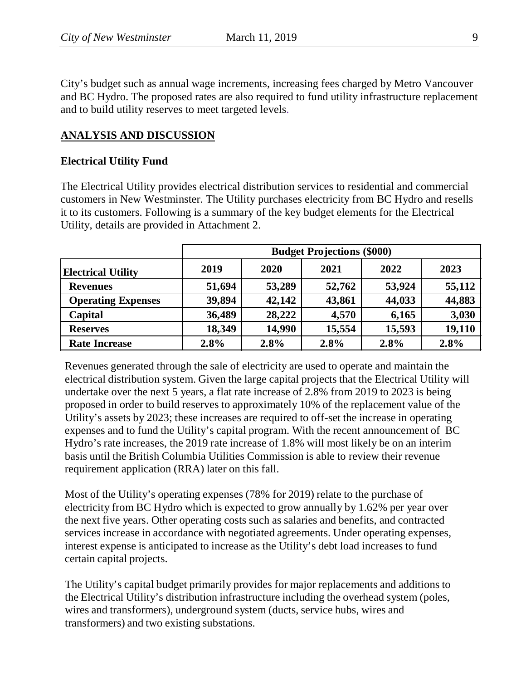City's budget such as annual wage increments, increasing fees charged by Metro Vancouver and BC Hydro. The proposed rates are also required to fund utility infrastructure replacement and to build utility reserves to meet targeted levels.

## **ANALYSIS AND DISCUSSION**

### **Electrical Utility Fund**

The Electrical Utility provides electrical distribution services to residential and commercial customers in New Westminster. The Utility purchases electricity from BC Hydro and resells it to its customers. Following is a summary of the key budget elements for the Electrical Utility, details are provided in Attachment 2.

|                           | <b>Budget Projections (\$000)</b> |        |        |        |        |  |  |  |  |  |
|---------------------------|-----------------------------------|--------|--------|--------|--------|--|--|--|--|--|
| <b>Electrical Utility</b> | 2019                              | 2020   | 2021   | 2022   | 2023   |  |  |  |  |  |
| <b>Revenues</b>           | 51,694                            | 53,289 | 52,762 | 53,924 | 55,112 |  |  |  |  |  |
| <b>Operating Expenses</b> | 39,894                            | 42,142 | 43,861 | 44,033 | 44,883 |  |  |  |  |  |
| Capital                   | 36,489                            | 28,222 | 4,570  | 6,165  | 3,030  |  |  |  |  |  |
| <b>Reserves</b>           | 18,349                            | 14,990 | 15,554 | 15,593 | 19,110 |  |  |  |  |  |
| <b>Rate Increase</b>      | 2.8%                              | 2.8%   | 2.8%   | 2.8%   | 2.8%   |  |  |  |  |  |

Revenues generated through the sale of electricity are used to operate and maintain the electrical distribution system. Given the large capital projects that the Electrical Utility will undertake over the next 5 years, a flat rate increase of 2.8% from 2019 to 2023 is being proposed in order to build reserves to approximately 10% of the replacement value of the Utility's assets by 2023; these increases are required to off-set the increase in operating expenses and to fund the Utility's capital program. With the recent announcement of BC Hydro's rate increases, the 2019 rate increase of 1.8% will most likely be on an interim basis until the British Columbia Utilities Commission is able to review their revenue requirement application (RRA) later on this fall.

Most of the Utility's operating expenses (78% for 2019) relate to the purchase of electricity from BC Hydro which is expected to grow annually by 1.62% per year over the next five years. Other operating costs such as salaries and benefits, and contracted services increase in accordance with negotiated agreements. Under operating expenses, interest expense is anticipated to increase as the Utility's debt load increases to fund certain capital projects.

The Utility's capital budget primarily provides for major replacements and additions to the Electrical Utility's distribution infrastructure including the overhead system (poles, wires and transformers), underground system (ducts, service hubs, wires and transformers) and two existing substations.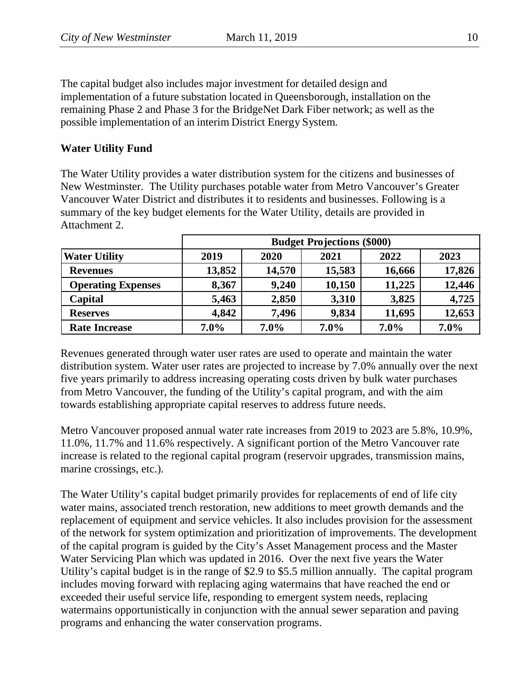The capital budget also includes major investment for detailed design and implementation of a future substation located in Queensborough, installation on the remaining Phase 2 and Phase 3 for the BridgeNet Dark Fiber network; as well as the possible implementation of an interim District Energy System.

## **Water Utility Fund**

The Water Utility provides a water distribution system for the citizens and businesses of New Westminster. The Utility purchases potable water from Metro Vancouver's Greater Vancouver Water District and distributes it to residents and businesses. Following is a summary of the key budget elements for the Water Utility, details are provided in Attachment 2.

|                           | <b>Budget Projections (\$000)</b> |        |         |         |         |  |  |  |  |  |
|---------------------------|-----------------------------------|--------|---------|---------|---------|--|--|--|--|--|
| <b>Water Utility</b>      | 2019                              | 2020   | 2021    | 2022    | 2023    |  |  |  |  |  |
| <b>Revenues</b>           | 13,852                            | 14,570 | 15,583  | 16,666  | 17,826  |  |  |  |  |  |
| <b>Operating Expenses</b> | 8,367                             | 9,240  | 10,150  | 11,225  | 12,446  |  |  |  |  |  |
| Capital                   | 5,463                             | 2,850  | 3,310   | 3,825   | 4,725   |  |  |  |  |  |
| <b>Reserves</b>           | 4,842                             | 7,496  | 9,834   | 11,695  | 12,653  |  |  |  |  |  |
| <b>Rate Increase</b>      | $7.0\%$                           | 7.0%   | $7.0\%$ | $7.0\%$ | $7.0\%$ |  |  |  |  |  |

Revenues generated through water user rates are used to operate and maintain the water distribution system. Water user rates are projected to increase by 7.0% annually over the next five years primarily to address increasing operating costs driven by bulk water purchases from Metro Vancouver, the funding of the Utility's capital program, and with the aim towards establishing appropriate capital reserves to address future needs.

Metro Vancouver proposed annual water rate increases from 2019 to 2023 are 5.8%, 10.9%, 11.0%, 11.7% and 11.6% respectively. A significant portion of the Metro Vancouver rate increase is related to the regional capital program (reservoir upgrades, transmission mains, marine crossings, etc.).

The Water Utility's capital budget primarily provides for replacements of end of life city water mains, associated trench restoration, new additions to meet growth demands and the replacement of equipment and service vehicles. It also includes provision for the assessment of the network for system optimization and prioritization of improvements. The development of the capital program is guided by the City's Asset Management process and the Master Water Servicing Plan which was updated in 2016. Over the next five years the Water Utility's capital budget is in the range of \$2.9 to \$5.5 million annually. The capital program includes moving forward with replacing aging watermains that have reached the end or exceeded their useful service life, responding to emergent system needs, replacing watermains opportunistically in conjunction with the annual sewer separation and paving programs and enhancing the water conservation programs.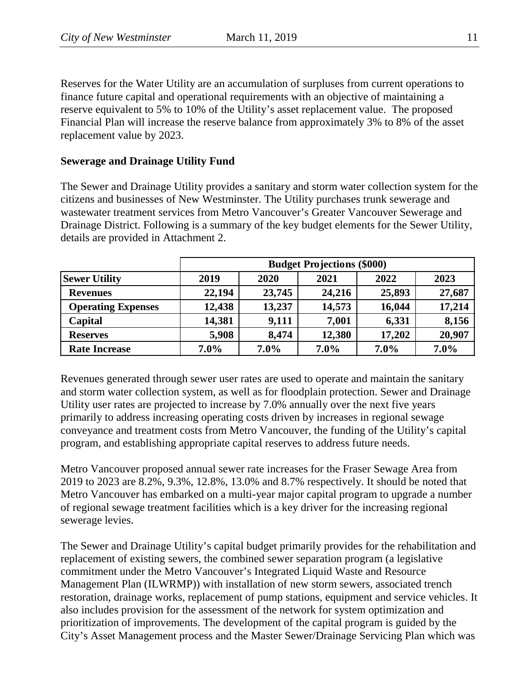Reserves for the Water Utility are an accumulation of surpluses from current operations to finance future capital and operational requirements with an objective of maintaining a reserve equivalent to 5% to 10% of the Utility's asset replacement value. The proposed Financial Plan will increase the reserve balance from approximately 3% to 8% of the asset replacement value by 2023.

## **Sewerage and Drainage Utility Fund**

The Sewer and Drainage Utility provides a sanitary and storm water collection system for the citizens and businesses of New Westminster. The Utility purchases trunk sewerage and wastewater treatment services from Metro Vancouver's Greater Vancouver Sewerage and Drainage District. Following is a summary of the key budget elements for the Sewer Utility, details are provided in Attachment 2.

|                           | <b>Budget Projections (\$000)</b> |         |         |         |        |
|---------------------------|-----------------------------------|---------|---------|---------|--------|
| <b>Sewer Utility</b>      | 2019                              | 2020    | 2021    | 2022    | 2023   |
| <b>Revenues</b>           | 22,194                            | 23,745  | 24,216  | 25,893  | 27,687 |
| <b>Operating Expenses</b> | 12,438                            | 13,237  | 14,573  | 16,044  | 17,214 |
| Capital                   | 14,381                            | 9,111   | 7,001   | 6,331   | 8,156  |
| <b>Reserves</b>           | 5,908                             | 8,474   | 12,380  | 17,202  | 20,907 |
| <b>Rate Increase</b>      | $7.0\%$                           | $7.0\%$ | $7.0\%$ | $7.0\%$ | 7.0%   |

Revenues generated through sewer user rates are used to operate and maintain the sanitary and storm water collection system, as well as for floodplain protection. Sewer and Drainage Utility user rates are projected to increase by 7.0% annually over the next five years primarily to address increasing operating costs driven by increases in regional sewage conveyance and treatment costs from Metro Vancouver, the funding of the Utility's capital program, and establishing appropriate capital reserves to address future needs.

Metro Vancouver proposed annual sewer rate increases for the Fraser Sewage Area from 2019 to 2023 are 8.2%, 9.3%, 12.8%, 13.0% and 8.7% respectively. It should be noted that Metro Vancouver has embarked on a multi-year major capital program to upgrade a number of regional sewage treatment facilities which is a key driver for the increasing regional sewerage levies.

The Sewer and Drainage Utility's capital budget primarily provides for the rehabilitation and replacement of existing sewers, the combined sewer separation program (a legislative commitment under the Metro Vancouver's Integrated Liquid Waste and Resource Management Plan (ILWRMP)) with installation of new storm sewers, associated trench restoration, drainage works, replacement of pump stations, equipment and service vehicles. It also includes provision for the assessment of the network for system optimization and prioritization of improvements. The development of the capital program is guided by the City's Asset Management process and the Master Sewer/Drainage Servicing Plan which was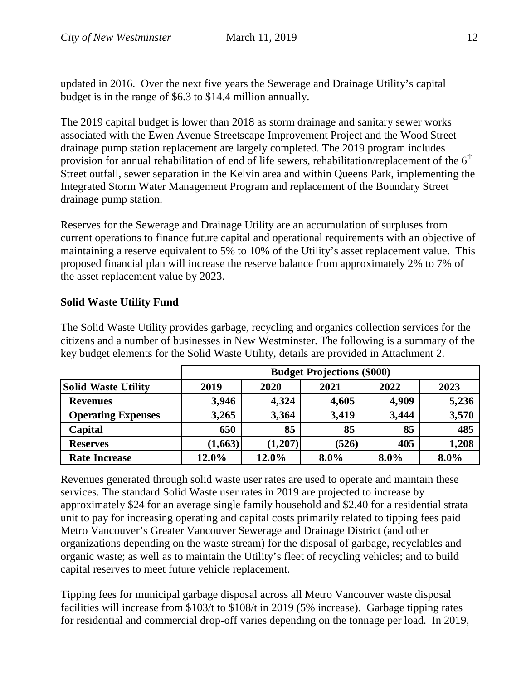updated in 2016. Over the next five years the Sewerage and Drainage Utility's capital budget is in the range of \$6.3 to \$14.4 million annually.

The 2019 capital budget is lower than 2018 as storm drainage and sanitary sewer works associated with the Ewen Avenue Streetscape Improvement Project and the Wood Street drainage pump station replacement are largely completed. The 2019 program includes provision for annual rehabilitation of end of life sewers, rehabilitation/replacement of the  $6<sup>th</sup>$ Street outfall, sewer separation in the Kelvin area and within Queens Park, implementing the Integrated Storm Water Management Program and replacement of the Boundary Street drainage pump station.

Reserves for the Sewerage and Drainage Utility are an accumulation of surpluses from current operations to finance future capital and operational requirements with an objective of maintaining a reserve equivalent to 5% to 10% of the Utility's asset replacement value. This proposed financial plan will increase the reserve balance from approximately 2% to 7% of the asset replacement value by 2023.

### **Solid Waste Utility Fund**

The Solid Waste Utility provides garbage, recycling and organics collection services for the citizens and a number of businesses in New Westminster. The following is a summary of the key budget elements for the Solid Waste Utility, details are provided in Attachment 2.

|                            | <b>Budget Projections (\$000)</b> |          |       |         |       |  |  |  |  |  |
|----------------------------|-----------------------------------|----------|-------|---------|-------|--|--|--|--|--|
| <b>Solid Waste Utility</b> | 2019                              | 2020     | 2021  | 2022    | 2023  |  |  |  |  |  |
| <b>Revenues</b>            | 3,946                             | 4,324    | 4,605 | 4,909   | 5,236 |  |  |  |  |  |
| <b>Operating Expenses</b>  | 3,265                             | 3,364    | 3,419 | 3,444   | 3,570 |  |  |  |  |  |
| Capital                    | 650                               | 85       | 85    | 85      | 485   |  |  |  |  |  |
| <b>Reserves</b>            | (1,663)                           | (1, 207) | (526) | 405     | 1,208 |  |  |  |  |  |
| <b>Rate Increase</b>       | 12.0%                             | 12.0%    | 8.0%  | $8.0\%$ | 8.0%  |  |  |  |  |  |

Revenues generated through solid waste user rates are used to operate and maintain these services. The standard Solid Waste user rates in 2019 are projected to increase by approximately \$24 for an average single family household and \$2.40 for a residential strata unit to pay for increasing operating and capital costs primarily related to tipping fees paid Metro Vancouver's Greater Vancouver Sewerage and Drainage District (and other organizations depending on the waste stream) for the disposal of garbage, recyclables and organic waste; as well as to maintain the Utility's fleet of recycling vehicles; and to build capital reserves to meet future vehicle replacement.

Tipping fees for municipal garbage disposal across all Metro Vancouver waste disposal facilities will increase from \$103/t to \$108/t in 2019 (5% increase). Garbage tipping rates for residential and commercial drop-off varies depending on the tonnage per load. In 2019,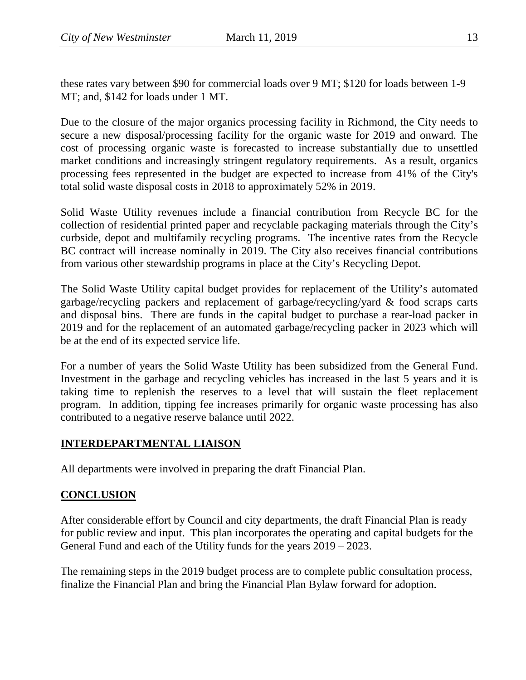these rates vary between \$90 for commercial loads over 9 MT; \$120 for loads between 1-9 MT; and, \$142 for loads under 1 MT.

Due to the closure of the major organics processing facility in Richmond, the City needs to secure a new disposal/processing facility for the organic waste for 2019 and onward. The cost of processing organic waste is forecasted to increase substantially due to unsettled market conditions and increasingly stringent regulatory requirements. As a result, organics processing fees represented in the budget are expected to increase from 41% of the City's total solid waste disposal costs in 2018 to approximately 52% in 2019.

Solid Waste Utility revenues include a financial contribution from Recycle BC for the collection of residential printed paper and recyclable packaging materials through the City's curbside, depot and multifamily recycling programs. The incentive rates from the Recycle BC contract will increase nominally in 2019. The City also receives financial contributions from various other stewardship programs in place at the City's Recycling Depot.

The Solid Waste Utility capital budget provides for replacement of the Utility's automated garbage/recycling packers and replacement of garbage/recycling/yard & food scraps carts and disposal bins. There are funds in the capital budget to purchase a rear-load packer in 2019 and for the replacement of an automated garbage/recycling packer in 2023 which will be at the end of its expected service life.

For a number of years the Solid Waste Utility has been subsidized from the General Fund. Investment in the garbage and recycling vehicles has increased in the last 5 years and it is taking time to replenish the reserves to a level that will sustain the fleet replacement program. In addition, tipping fee increases primarily for organic waste processing has also contributed to a negative reserve balance until 2022.

## **INTERDEPARTMENTAL LIAISON**

All departments were involved in preparing the draft Financial Plan.

## **CONCLUSION**

After considerable effort by Council and city departments, the draft Financial Plan is ready for public review and input. This plan incorporates the operating and capital budgets for the General Fund and each of the Utility funds for the years 2019 – 2023.

The remaining steps in the 2019 budget process are to complete public consultation process, finalize the Financial Plan and bring the Financial Plan Bylaw forward for adoption.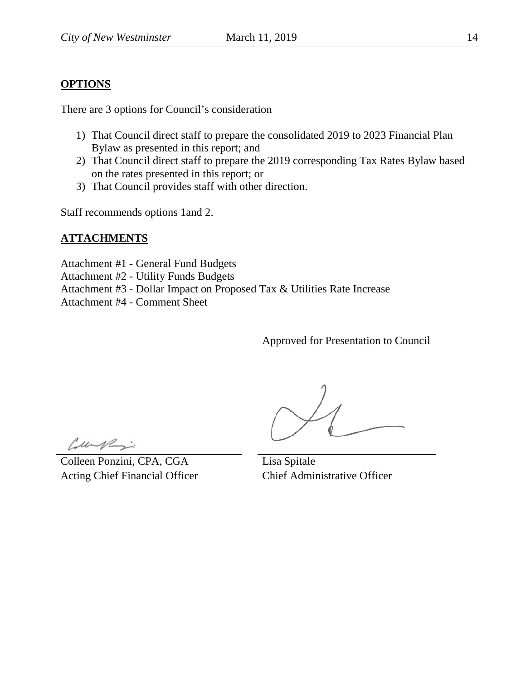## **OPTIONS**

There are 3 options for Council's consideration

- 1) That Council direct staff to prepare the consolidated 2019 to 2023 Financial Plan Bylaw as presented in this report; and
- 2) That Council direct staff to prepare the 2019 corresponding Tax Rates Bylaw based on the rates presented in this report; or
- 3) That Council provides staff with other direction.

Staff recommends options 1and 2.

### **ATTACHMENTS**

Attachment #1 - General Fund Budgets Attachment #2 - Utility Funds Budgets Attachment #3 - Dollar Impact on Proposed Tax & Utilities Rate Increase Attachment #4 - Comment Sheet

Approved for Presentation to Council

Cupi

Colleen Ponzini, CPA, CGA Acting Chief Financial Officer

Lisa Spitale Chief Administrative Officer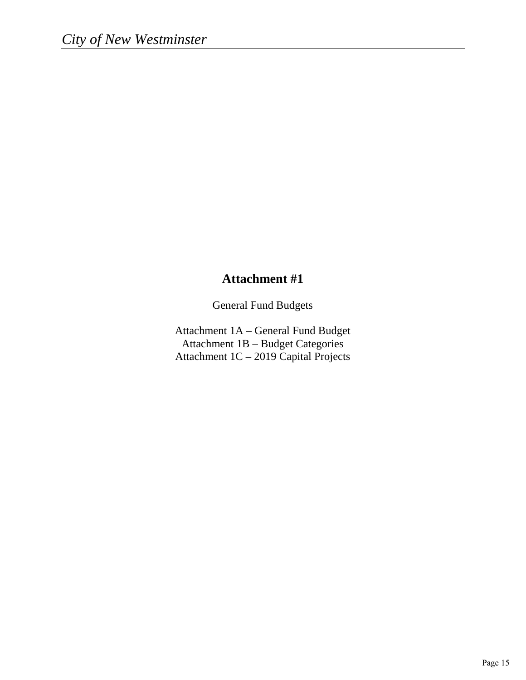## **Attachment #1**

General Fund Budgets

Attachment 1A – General Fund Budget Attachment 1B – Budget Categories Attachment 1C – 2019 Capital Projects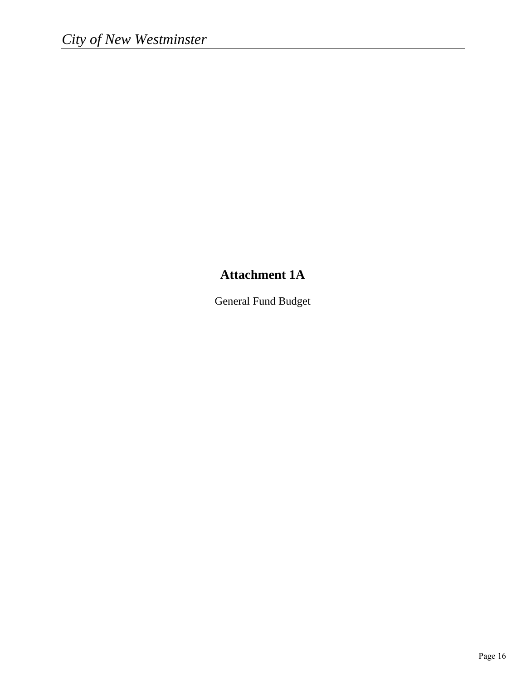## **Attachment 1A**

General Fund Budget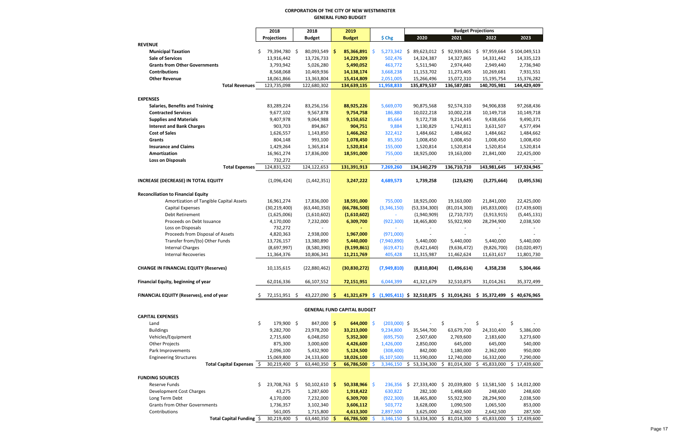#### **CORPORATION OF THE CITY OF NEW WESTMINSTER GENERAL FUND BUDGET**

|                                                | 2018                 | 2018                       | 2019                               |                |                         |                                                                                     | <b>Budget Projections</b> |                  |
|------------------------------------------------|----------------------|----------------------------|------------------------------------|----------------|-------------------------|-------------------------------------------------------------------------------------|---------------------------|------------------|
|                                                | <b>Projections</b>   | <b>Budget</b>              | <b>Budget</b>                      | \$ Chg         | 2020                    | 2021                                                                                | 2022                      | 2023             |
| <b>REVENUE</b>                                 |                      |                            |                                    |                |                         |                                                                                     |                           |                  |
| <b>Municipal Taxation</b>                      | 79,394,780 \$<br>S.  | 80,093,549 \$              | 85,366,891 \$                      |                |                         | 5,273,342 \$ 89,623,012 \$ 92,939,061 \$ 97,959,664                                 |                           | \$104,049,513    |
| <b>Sale of Services</b>                        | 13,916,442           | 13,726,733                 | 14,229,209                         | 502,476        | 14,324,387              | 14,327,865                                                                          | 14,331,442                | 14,335,123       |
| <b>Grants from Other Governments</b>           | 3,793,942            | 5,026,280                  | 5,490,052                          | 463,772        | 5,511,940               | 2,974,440                                                                           | 2,949,440                 | 2,736,940        |
| <b>Contributions</b>                           | 8,568,068            | 10,469,936                 | 14,138,174                         | 3,668,238      | 11,153,702              | 11,273,405                                                                          | 10,269,681                | 7,931,551        |
| <b>Other Revenue</b>                           | 18,061,866           | 13,363,804                 | 15,414,809                         | 2,051,005      | 15,266,496              | 15,072,310                                                                          | 15,195,754                | 15,376,282       |
| <b>Total Revenues</b>                          | 123,735,098          | 122,680,302                | 134,639,135                        | 11,958,833     | 135,879,537             | 136,587,081                                                                         | 140,705,981               | 144,429,409      |
| <b>EXPENSES</b>                                |                      |                            |                                    |                |                         |                                                                                     |                           |                  |
| <b>Salaries, Benefits and Training</b>         | 83,289,224           | 83,256,156                 | 88,925,226                         | 5,669,070      | 90,875,568              | 92,574,310                                                                          | 94,906,838                | 97,268,436       |
| <b>Contracted Services</b>                     | 9,677,102            | 9,567,878                  | 9,754,758                          | 186,880        | 10,022,218              | 10,002,218                                                                          | 10,149,718                | 10,149,718       |
| <b>Supplies and Materials</b>                  | 9,407,978            | 9,064,988                  | 9,150,652                          | 85,664         | 9,172,738               | 9,214,445                                                                           | 9,438,656                 | 9,490,371        |
| <b>Interest and Bank Charges</b>               | 903,703              | 894,867                    | 904,751                            | 9,884          | 1,130,829               | 1,742,811                                                                           | 3,631,507                 | 4,577,494        |
| <b>Cost of Sales</b>                           | 1,626,557            | 1,143,850                  | 1,466,262                          | 322,412        | 1,484,662               | 1,484,662                                                                           | 1,484,662                 | 1,484,662        |
| Grants                                         | 804,148              | 993,100                    | 1,078,450                          | 85,350         | 1,008,450               | 1,008,450                                                                           | 1,008,450                 | 1,008,450        |
| <b>Insurance and Claims</b>                    | 1,429,264            | 1,365,814                  | 1,520,814                          | 155,000        | 1,520,814               | 1,520,814                                                                           | 1,520,814                 | 1,520,814        |
| Amortization                                   | 16,961,274           | 17,836,000                 | 18,591,000                         | 755,000        | 18,925,000              | 19,163,000                                                                          | 21,841,000                | 22,425,000       |
| <b>Loss on Disposals</b>                       | 732,272              |                            |                                    | $\omega$       | $\sim$                  | $\omega$                                                                            | $\sim$                    |                  |
| <b>Total Expenses</b>                          | 124,831,522          | 124,122,653                | 131,391,913                        | 7,269,260      | 134,140,279             | 136,710,710                                                                         | 143,981,645               | 147,924,945      |
|                                                |                      |                            |                                    |                |                         |                                                                                     |                           |                  |
| <b>INCREASE (DECREASE) IN TOTAL EQUITY</b>     | (1,096,424)          | (1,442,351)                | 3,247,222                          | 4,689,573      | 1,739,258               | (123, 629)                                                                          | (3, 275, 664)             | (3, 495, 536)    |
|                                                |                      |                            |                                    |                |                         |                                                                                     |                           |                  |
| <b>Reconciliation to Financial Equity</b>      |                      |                            |                                    |                |                         |                                                                                     |                           |                  |
| Amortization of Tangible Capital Assets        | 16,961,274           | 17,836,000                 | 18,591,000                         | 755,000        | 18,925,000              | 19,163,000                                                                          | 21,841,000                | 22,425,000       |
| Capital Expenses                               | (30, 219, 400)       | (63, 440, 350)             | (66, 786, 500)                     | (3,346,150)    | (53, 334, 300)          | (81,014,300)                                                                        | (45, 833, 000)            | (17, 439, 600)   |
| Debt Retirement                                | (1,625,006)          | (1,610,602)                | (1,610,602)                        |                | (1,940,909)             | (2,710,737)                                                                         | (3,913,915)               | (5,445,131)      |
| Proceeds on Debt Issuance<br>Loss on Disposals | 4,170,000<br>732,272 | 7,232,000                  | 6,309,700                          | (922, 300)     | 18,465,800              | 55,922,900                                                                          | 28,294,900                | 2,038,500        |
| Proceeds from Disposal of Assets               | 4,820,363            | 2,938,000                  | 1,967,000                          | (971,000)      |                         |                                                                                     |                           |                  |
| Transfer from/(to) Other Funds                 | 13,726,157           | 13,380,890                 | 5,440,000                          | (7,940,890)    | 5,440,000               | 5,440,000                                                                           | 5,440,000                 | 5,440,000        |
| <b>Internal Charges</b>                        | (8,697,997)          | (8,580,390)                | (9, 199, 861)                      | (619, 471)     | (9,421,640)             | (9,636,472)                                                                         | (9,826,700)               | (10,020,497)     |
| <b>Internal Recoveries</b>                     | 11,364,376           | 10,806,341                 | 11,211,769                         | 405,428        | 11,315,987              | 11,462,624                                                                          | 11,631,617                | 11,801,730       |
|                                                |                      |                            |                                    |                |                         |                                                                                     |                           |                  |
| <b>CHANGE IN FINANCIAL EQUITY (Reserves)</b>   | 10,135,615           | (22,880,462)               | (30, 830, 272)                     | (7,949,810)    | (8,810,804)             | (1,496,614)                                                                         | 4,358,238                 | 5,304,466        |
|                                                |                      |                            |                                    |                |                         |                                                                                     |                           |                  |
| Financial Equity, beginning of year            | 62,016,336           | 66,107,552                 | 72,151,951                         | 6,044,399      | 41,321,679              | 32,510,875                                                                          | 31,014,261                | 35,372,499       |
| FINANCIAL EQUITY (Reserves), end of year       | 72,151,951 \$        | 43,227,090 \$              |                                    |                |                         | 41,321,679 \$ $(1,905,411)$ \$ 32,510,875 \$ 31,014,261 \$ 35,372,499 \$ 40,676,965 |                           |                  |
|                                                |                      |                            |                                    |                |                         |                                                                                     |                           |                  |
|                                                |                      |                            | <b>GENERAL FUND CAPITAL BUDGET</b> |                |                         |                                                                                     |                           |                  |
| <b>CAPITAL EXPENSES</b>                        |                      |                            |                                    |                |                         |                                                                                     |                           |                  |
| Land                                           | \$<br>179,900 \$     | 847,000 \$                 | 644,000 \$                         | $(203,000)$ \$ |                         | \$                                                                                  | \$                        | \$               |
| <b>Buildings</b>                               | 9,282,700            | 23,978,200                 | 33,213,000                         | 9,234,800      | 35,544,700              | 63,679,700                                                                          | 24,310,400                | 5,386,000        |
| Vehicles/Equipment                             | 2,715,600            | 6,048,050                  | 5,352,300                          | (695, 750)     | 2,507,600               | 2,769,600                                                                           | 2,183,600                 | 3,273,600        |
| Other Projects                                 | 875,300              | 3,000,600                  | 4,426,600                          | 1,426,000      | 2,850,000               | 645,000                                                                             | 645,000                   | 540,000          |
| Park Improvements                              | 2,096,100            | 5,432,900                  | 5,124,500                          | (308, 400)     | 842,000                 | 1,180,000                                                                           | 2,362,000                 | 950,000          |
| <b>Engineering Structures</b>                  | 15,069,800           | 24,133,600                 | 18,026,100                         | (6, 107, 500)  | 11,590,000              | 12,740,000                                                                          | 16,332,000                | 7,290,000        |
| <b>Total Capital Expenses</b>                  | 30,219,400<br>S.     | 63,440,350<br><sup>S</sup> | 66,786,500                         | 3,346,150      | \$53,334,300            | 81,014,300<br>S.                                                                    | 45,833,000<br>S.          | 17,439,600<br>S. |
|                                                |                      |                            |                                    |                |                         |                                                                                     |                           |                  |
| <b>FUNDING SOURCES</b>                         |                      |                            |                                    |                |                         |                                                                                     |                           |                  |
| Reserve Funds                                  | 23,708,763 \$<br>Ś.  | 50,102,610 \$              | $50,338,966$ \$                    | 236,356        | $$27,333,400$ \$        | 20,039,800                                                                          | \$13,581,500              | \$14,012,000     |
| Development Cost Charges                       | 43,275               | 1,287,600                  | 1,918,422                          | 630,822        | 282,100                 | 1,498,600                                                                           | 248,600                   | 248,600          |
| Long Term Debt                                 | 4,170,000            | 7,232,000                  | 6,309,700                          | (922, 300)     | 18,465,800              | 55,922,900                                                                          | 28,294,900                | 2,038,500        |
| <b>Grants from Other Governments</b>           | 1,736,357            | 3,102,340                  | 3,606,112                          | 503,772        | 3,628,000               | 1,090,500                                                                           | 1,065,500                 | 853,000          |
| Contributions<br>Total Capital Funding \$      | 561,005              | 1,715,800                  | 4,613,300                          | 2,897,500      | 3,625,000               | 2,462,500                                                                           | 2,642,500                 | 287,500          |
|                                                | 30,219,400           | 63,440,350 \$              | 66,786,500 \$                      |                | 3,346,150 \$ 53,334,300 | \$<br>81,014,300                                                                    | \$.<br>45,833,000         | \$17,439,600     |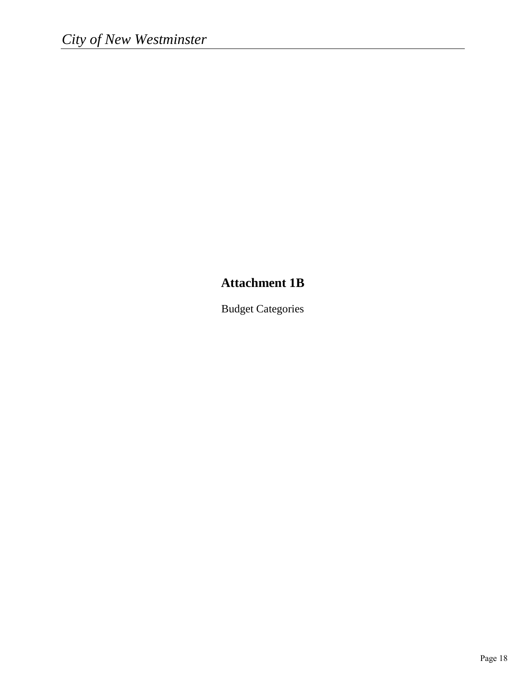## **Attachment 1B**

Budget Categories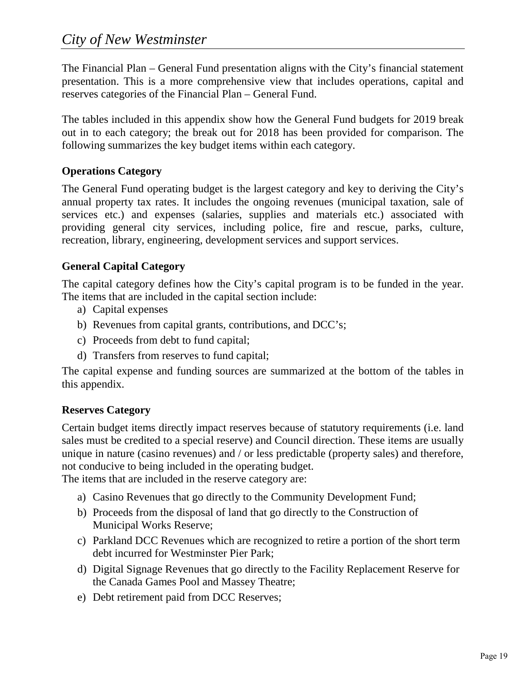The Financial Plan – General Fund presentation aligns with the City's financial statement presentation. This is a more comprehensive view that includes operations, capital and reserves categories of the Financial Plan – General Fund.

The tables included in this appendix show how the General Fund budgets for 2019 break out in to each category; the break out for 2018 has been provided for comparison. The following summarizes the key budget items within each category.

## **Operations Category**

The General Fund operating budget is the largest category and key to deriving the City's annual property tax rates. It includes the ongoing revenues (municipal taxation, sale of services etc.) and expenses (salaries, supplies and materials etc.) associated with providing general city services, including police, fire and rescue, parks, culture, recreation, library, engineering, development services and support services.

## **General Capital Category**

The capital category defines how the City's capital program is to be funded in the year. The items that are included in the capital section include:

- a) Capital expenses
- b) Revenues from capital grants, contributions, and DCC's;
- c) Proceeds from debt to fund capital;
- d) Transfers from reserves to fund capital;

The capital expense and funding sources are summarized at the bottom of the tables in this appendix.

## **Reserves Category**

Certain budget items directly impact reserves because of statutory requirements (i.e. land sales must be credited to a special reserve) and Council direction. These items are usually unique in nature (casino revenues) and / or less predictable (property sales) and therefore, not conducive to being included in the operating budget.

The items that are included in the reserve category are:

- a) Casino Revenues that go directly to the Community Development Fund;
- b) Proceeds from the disposal of land that go directly to the Construction of Municipal Works Reserve;
- c) Parkland DCC Revenues which are recognized to retire a portion of the short term debt incurred for Westminster Pier Park;
- d) Digital Signage Revenues that go directly to the Facility Replacement Reserve for the Canada Games Pool and Massey Theatre;
- e) Debt retirement paid from DCC Reserves;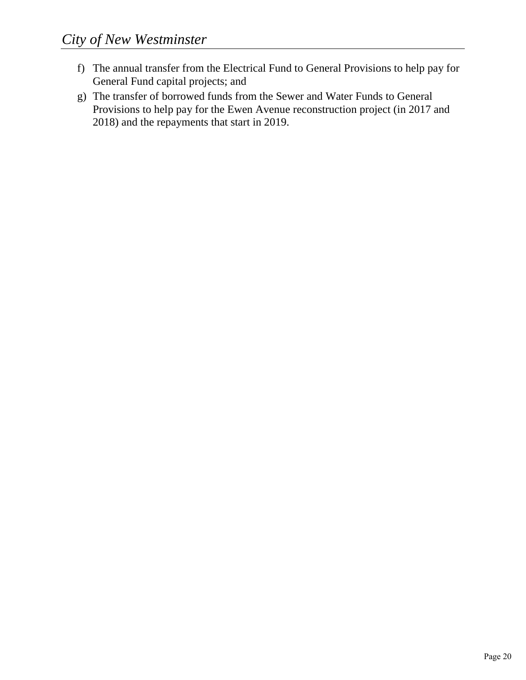- f) The annual transfer from the Electrical Fund to General Provisions to help pay for General Fund capital projects; and
- g) The transfer of borrowed funds from the Sewer and Water Funds to General Provisions to help pay for the Ewen Avenue reconstruction project (in 2017 and 2018) and the repayments that start in 2019.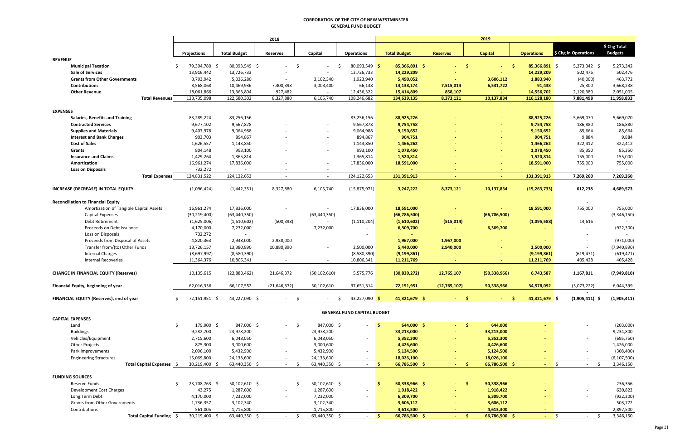#### **CORPORATION OF THE CITY OF NEW WESTMINSTER GENERAL FUND BUDGET**

|                                              |                  |                     | 2018                     |                          |                                      |                          |                 | 2019           |                         |                            |                |
|----------------------------------------------|------------------|---------------------|--------------------------|--------------------------|--------------------------------------|--------------------------|-----------------|----------------|-------------------------|----------------------------|----------------|
|                                              |                  |                     |                          |                          |                                      |                          |                 |                |                         |                            |                |
|                                              |                  |                     |                          |                          |                                      |                          |                 |                |                         |                            | \$ Chg Total   |
|                                              | Projections      | <b>Total Budget</b> | <b>Reserves</b>          | Capital                  | <b>Operations</b>                    | <b>Total Budget</b>      | <b>Reserves</b> | <b>Capital</b> | <b>Operations</b>       | \$ Chg in Operations       | <b>Budgets</b> |
| <b>REVENUE</b>                               |                  |                     |                          |                          |                                      |                          |                 |                |                         |                            |                |
| <b>Municipal Taxation</b>                    | 79,394,780 \$    | 80,093,549 \$       | -\$<br>$\sim$            |                          | 80,093,549 \$<br>$\ddot{\mathsf{S}}$ | 85,366,891 \$            | -\$<br>ALC: U   | $-5$           | $85,366,891$ \$         | 5,273,342 \$               | 5,273,342      |
| <b>Sale of Services</b>                      | 13,916,442       | 13,726,733          |                          | $\sim$                   | 13,726,733                           | 14,229,209               |                 |                | 14,229,209              | 502,476                    | 502,476        |
| <b>Grants from Other Governments</b>         | 3,793,942        | 5,026,280           | $\sim$                   | 3,102,340                | 1,923,940                            | 5,490,052                | $\sim$          | 3,606,112      | 1,883,940               | (40,000)                   | 463,772        |
| <b>Contributions</b>                         | 8,568,068        | 10,469,936          | 7,400,398                | 3,003,400                | 66,138                               | 14,138,174               | 7,515,014       | 6,531,722      | 91,438                  | 25,300                     | 3,668,238      |
| <b>Other Revenue</b>                         | 18,061,866       | 13,363,804          | 927,482                  | $\sim$                   | 12,436,322                           | 15,414,809               | 858,107         |                | 14,556,702              | 2,120,380                  | 2,051,005      |
| <b>Total Revenues</b>                        | 123,735,098      | 122,680,302         | 8,327,880                | 6,105,740                | 108,246,682                          | 134,639,135              | 8,373,121       | 10,137,834     | 116,128,180             | 7,881,498                  | 11,958,833     |
|                                              |                  |                     |                          |                          |                                      |                          |                 |                |                         |                            |                |
| <b>EXPENSES</b>                              |                  |                     |                          |                          |                                      |                          |                 |                |                         |                            |                |
| <b>Salaries, Benefits and Training</b>       | 83,289,224       | 83,256,156          |                          |                          | 83,256,156                           | 88,925,226               |                 |                | 88,925,226              | 5,669,070                  | 5,669,070      |
| <b>Contracted Services</b>                   | 9,677,102        | 9,567,878           |                          | $\sim$                   | 9,567,878                            | 9,754,758                |                 |                | 9,754,758               | 186,880                    | 186,880        |
| <b>Supplies and Materials</b>                | 9,407,978        | 9,064,988           |                          | $\sim$                   | 9,064,988                            | 9,150,652                |                 |                | 9,150,652               | 85,664                     | 85,664         |
| <b>Interest and Bank Charges</b>             | 903,703          | 894,867             |                          |                          | 894,867                              | 904,751                  |                 |                | 904,751                 | 9,884                      | 9,884          |
| <b>Cost of Sales</b>                         | 1,626,557        | 1,143,850           |                          |                          | 1,143,850                            | 1,466,262                |                 |                | 1,466,262               | 322,412                    | 322,412        |
| Grants                                       | 804,148          | 993,100             |                          |                          | 993,100                              | 1,078,450                |                 |                | 1,078,450               | 85,350                     | 85,350         |
| <b>Insurance and Claims</b>                  | 1,429,264        | 1,365,814           |                          |                          | 1,365,814                            | 1,520,814                |                 |                | 1,520,814               | 155,000                    | 155,000        |
| Amortization                                 | 16,961,274       | 17,836,000          |                          |                          | 17,836,000                           | 18,591,000               |                 |                | 18,591,000              | 755,000                    | 755,000        |
| <b>Loss on Disposals</b>                     | 732,272          |                     |                          | $\overline{\phantom{a}}$ |                                      |                          |                 |                |                         |                            |                |
| <b>Total Expenses</b>                        | 124,831,522      | 124,122,653         | $\sim$                   | $\overline{\phantom{a}}$ | 124,122,653                          | 131,391,913              |                 |                | 131,391,913             | 7,269,260                  | 7,269,260      |
|                                              |                  |                     |                          |                          |                                      |                          |                 |                |                         |                            |                |
| <b>INCREASE (DECREASE) IN TOTAL EQUITY</b>   | (1,096,424)      | (1,442,351)         | 8,327,880                | 6,105,740                | (15, 875, 971)                       | 3,247,222                | 8,373,121       | 10,137,834     | (15, 263, 733)          | 612,238                    | 4,689,573      |
|                                              |                  |                     |                          |                          |                                      |                          |                 |                |                         |                            |                |
| <b>Reconciliation to Financial Equity</b>    |                  |                     |                          |                          |                                      |                          |                 |                |                         |                            |                |
| Amortization of Tangible Capital Assets      | 16,961,274       | 17,836,000          |                          |                          | 17,836,000                           | 18,591,000               |                 |                | 18,591,000              | 755,000                    | 755,000        |
| <b>Capital Expenses</b>                      | (30, 219, 400)   | (63, 440, 350)      | $\sim$                   | (63, 440, 350)           |                                      | (66,786,500)             |                 | (66,786,500)   |                         | $\sim$                     | (3,346,150)    |
| Debt Retirement                              | (1,625,006)      | (1,610,602)         | (500, 398)               | $\sim$                   | (1, 110, 204)                        | (1,610,602)              | (515, 014)      |                | (1,095,588)             | 14,616                     |                |
| Proceeds on Debt Issuance                    | 4,170,000        | 7,232,000           | $\sim$                   | 7,232,000                |                                      | 6,309,700                |                 | 6,309,700      |                         | $\overline{\phantom{a}}$   | (922, 300)     |
| Loss on Disposals                            | 732,272          | $\sim$              |                          |                          | $\sim$                               |                          |                 |                |                         |                            |                |
| Proceeds from Disposal of Assets             | 4,820,363        | 2,938,000           | 2,938,000                |                          |                                      | 1,967,000                | 1,967,000       |                | $\sim$                  |                            | (971,000)      |
| Transfer from/(to) Other Funds               | 13,726,157       | 13,380,890          | 10,880,890               |                          | 2,500,000                            | 5,440,000                | 2,940,000       |                | 2,500,000               | $\overline{\phantom{a}}$   | (7,940,890)    |
| <b>Internal Charges</b>                      | (8,697,997)      | (8,580,390)         |                          |                          | (8,580,390)                          | (9, 199, 861)            |                 |                | (9, 199, 861)           | (619, 471)                 | (619, 471)     |
| <b>Internal Recoveries</b>                   | 11,364,376       | 10,806,341          |                          |                          | 10,806,341                           | 11,211,769               |                 |                | 11,211,769              | 405,428                    | 405,428        |
|                                              |                  |                     |                          |                          |                                      |                          |                 |                |                         |                            |                |
| <b>CHANGE IN FINANCIAL EQUITY (Reserves)</b> | 10,135,615       | (22,880,462)        | 21,646,372               | (50, 102, 610)           | 5,575,776                            | (30, 830, 272)           | 12,765,107      | (50, 338, 966) | 6,743,587               | 1,167,811                  | (7,949,810)    |
|                                              |                  |                     |                          |                          |                                      |                          |                 |                |                         |                            |                |
| Financial Equity, beginning of year          | 62,016,336       | 66,107,552          | (21, 646, 372)           | 50,102,610               | 37,651,314                           | 72,151,951               | (12, 765, 107)  | 50,338,966     | 34,578,092              | (3,073,222)                | 6,044,399      |
| FINANCIAL EQUITY (Reserves), end of year     | 72,151,951 \$    | 43,227,090 \$       | -\$<br>$\sim$            | $\sim$                   | 43,227,090 \$<br>$\ddot{\mathsf{S}}$ | 41,321,679 \$            | -S<br>$\sim$    |                | $41,321,679$ \$<br>- \$ | $(1,905,411)$ \$           | (1,905,411)    |
|                                              |                  |                     |                          |                          |                                      |                          |                 |                |                         |                            |                |
|                                              |                  |                     |                          |                          | <b>GENERAL FUND CAPITAL BUDGET</b>   |                          |                 |                |                         |                            |                |
| <b>CAPITAL EXPENSES</b>                      |                  |                     |                          |                          |                                      |                          |                 |                |                         |                            |                |
| Land                                         | 179,900 \$<br>\$ | 847,000 \$          | - \$<br>$\sim$           | 847,000 \$               |                                      | $\sqrt{5}$<br>644,000 \$ | $-5$            | 644,000        |                         |                            | (203,000)      |
| <b>Buildings</b>                             | 9,282,700        | 23,978,200          |                          | 23,978,200               | $\sim$                               | 33,213,000               |                 | 33,213,000     |                         |                            | 9,234,800      |
| Vehicles/Equipment                           | 2,715,600        | 6,048,050           | $\sim$                   | 6,048,050                | $\sim$                               | 5,352,300                |                 | 5,352,300      |                         | $\sim$                     | (695, 750)     |
| <b>Other Projects</b>                        | 875,300          | 3,000,600           | $\sim$                   | 3,000,600                | $\sim$                               | 4,426,600                |                 | 4,426,600      |                         | $\sim$                     | 1,426,000      |
| Park Improvements                            | 2,096,100        | 5,432,900           | $\sim$                   | 5,432,900                | $\sim$                               | 5,124,500                |                 | 5,124,500      |                         | $\sim$                     | (308, 400)     |
| <b>Engineering Structures</b>                | 15,069,800       | 24,133,600          | $\sim$                   | 24,133,600               | $-$                                  | 18,026,100               |                 | 18,026,100     | $\sim$                  | $\sim$                     | (6, 107, 500)  |
| Total Capital Expenses \$                    | 30,219,400 \$    | 63,440,350 \$       | - \$<br>$\sim 100$       | 63,440,350 \$            | $\sim$ 5.                            | 66,786,500 \$            | $-5$            | 66,786,500 \$  | $\sim$                  | I\$<br>- \$<br>$\sim 100$  | 3,346,150      |
|                                              |                  |                     |                          |                          |                                      |                          |                 |                |                         |                            |                |
| <b>FUNDING SOURCES</b>                       |                  |                     |                          |                          |                                      |                          |                 |                |                         |                            |                |
| Reserve Funds                                | 23,708,763 \$    | 50,102,610 \$       | - S<br>$\sim$            | 50,102,610 \$            | $\sim$                               | 50,338,966 \$<br>-S.     | $-5$            | 50,338,966     |                         |                            | 236,356        |
| Development Cost Charges                     | 43,275           | 1,287,600           |                          | 1,287,600                |                                      | 1,918,422                |                 | 1,918,422      |                         |                            | 630,822        |
| Long Term Debt                               | 4,170,000        | 7,232,000           | $\sim$                   | 7,232,000                | $\overline{\phantom{a}}$             | 6,309,700                |                 | 6,309,700      |                         |                            | (922, 300)     |
| <b>Grants from Other Governments</b>         | 1,736,357        | 3,102,340           | $\overline{\phantom{a}}$ | 3,102,340                | $\sim$                               | 3,606,112                |                 | 3,606,112      |                         |                            | 503,772        |
| Contributions                                | 561,005          | 1,715,800           | $\sim$                   | 1,715,800                | $\sim$                               | 4,613,300                |                 | 4,613,300      |                         |                            | 2,897,500      |
| Total Capital Funding \$                     | 30,219,400 \$    | 63,440,350 \$       | - \$<br>$\sim$           | 63,440,350 \$            | $\sim$                               | 66,786,500 \$<br>∣\$∶    | - \$<br>$\sim$  | 66,786,500 \$  | $\sim$                  | $\vert$ \$<br>-Ś<br>$\sim$ | 3,346,150      |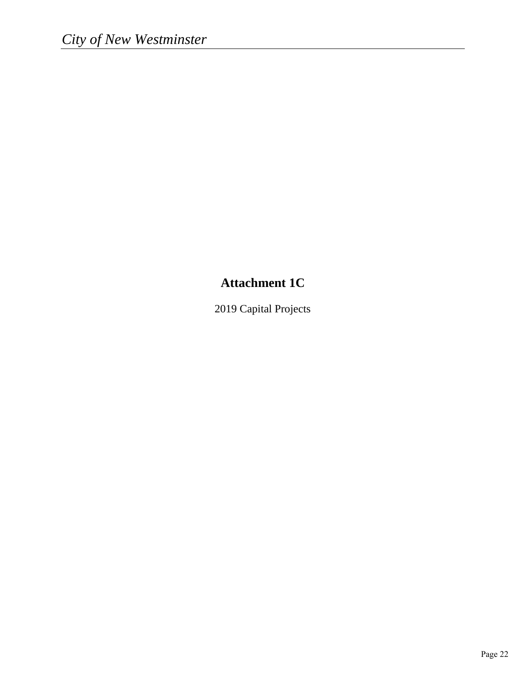## **Attachment 1C**

2019 Capital Projects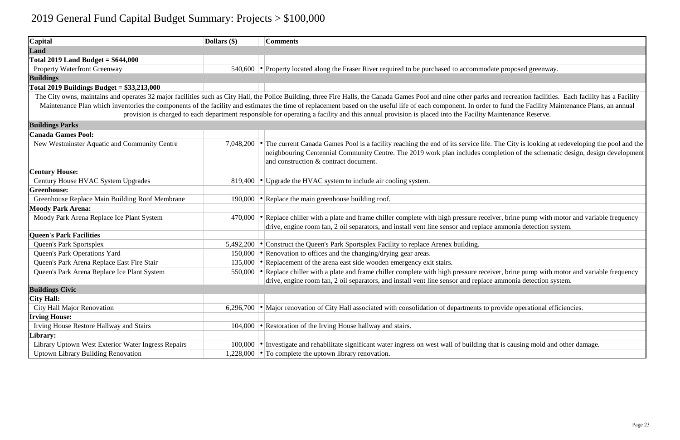| Capital                                            | Dollars (\$) | <b>Comments</b>                                                                                                                                                                                                 |
|----------------------------------------------------|--------------|-----------------------------------------------------------------------------------------------------------------------------------------------------------------------------------------------------------------|
| Land                                               |              |                                                                                                                                                                                                                 |
| Total 2019 Land Budget = $$644,000$                |              |                                                                                                                                                                                                                 |
| Property Waterfront Greenway                       |              | 540,600 $\bullet$ Property located along the Fraser River required to be purchased to accommodate                                                                                                               |
| <b>Buildings</b>                                   |              |                                                                                                                                                                                                                 |
| Total 2019 Buildings Budget = $$33,213,000$        |              |                                                                                                                                                                                                                 |
|                                                    |              | The City owns, maintains and operates 32 major facilities such as City Hall, the Police Building, three Fire Halls, the Canada Games Pool and nine other parks and                                              |
|                                                    |              | Maintenance Plan which inventories the components of the facility and estimates the time of replacement based on the useful life of each component. In order to                                                 |
|                                                    |              | provision is charged to each department responsible for operating a facility and this annual provision is placed into the Facility Mai                                                                          |
| <b>Buildings Parks</b>                             |              |                                                                                                                                                                                                                 |
| <b>Canada Games Pool:</b>                          |              |                                                                                                                                                                                                                 |
| New Westminster Aquatic and Community Centre       | 7,048,200    | • The current Canada Games Pool is a facility reaching the end of its service life. The<br>neighbouring Centennial Community Centre. The 2019 work plan includes compl<br>and construction & contract document. |
| <b>Century House:</b>                              |              |                                                                                                                                                                                                                 |
| Century House HVAC System Upgrades                 | 819,400      | $\cdot$ Upgrade the HVAC system to include air cooling system.                                                                                                                                                  |
| <b>Greenhouse:</b>                                 |              |                                                                                                                                                                                                                 |
| Greenhouse Replace Main Building Roof Membrane     | 190,000      | $\cdot$ Replace the main greenhouse building roof.                                                                                                                                                              |
| <b>Moody Park Arena:</b>                           |              |                                                                                                                                                                                                                 |
| Moody Park Arena Replace Ice Plant System          | 470,000      | $\cdot$ Replace chiller with a plate and frame chiller complete with high pressure receive                                                                                                                      |
| <b>Queen's Park Facilities</b>                     |              | drive, engine room fan, 2 oil separators, and install vent line sensor and replace an                                                                                                                           |
| <b>Queen's Park Sportsplex</b>                     | 5,492,200    | • Construct the Queen's Park Sportsplex Facility to replace Arenex building.                                                                                                                                    |
| Queen's Park Operations Yard                       | 150,000      | • Renovation to offices and the changing/drying gear areas.                                                                                                                                                     |
| Queen's Park Arena Replace East Fire Stair         | 135,000      | $\cdot$ Replacement of the arena east side wooden emergency exit stairs.                                                                                                                                        |
| Queen's Park Arena Replace Ice Plant System        | 550,000      | $\cdot$ Replace chiller with a plate and frame chiller complete with high pressure receive                                                                                                                      |
|                                                    |              | drive, engine room fan, 2 oil separators, and install vent line sensor and replace an                                                                                                                           |
| <b>Buildings Civic</b>                             |              |                                                                                                                                                                                                                 |
| <b>City Hall:</b>                                  |              |                                                                                                                                                                                                                 |
| City Hall Major Renovation                         | 6,296,700    | $\cdot$ Major renovation of City Hall associated with consolidation of departments to pro                                                                                                                       |
| <b>Irving House:</b>                               |              |                                                                                                                                                                                                                 |
| <b>Irving House Restore Hallway and Stairs</b>     | 104,000      | • Restoration of the Irving House hallway and stairs.                                                                                                                                                           |
| Library:                                           |              |                                                                                                                                                                                                                 |
| Library Uptown West Exterior Water Ingress Repairs | 100,000      | • Investigate and rehabilitate significant water ingress on west wall of building that                                                                                                                          |
| <b>Uptown Library Building Renovation</b>          |              | 1,228,000 $\bullet$ To complete the uptown library renovation.                                                                                                                                                  |

proposed greenway.

Ind recreation facilities. Each facility has a Facility fund the Facility Maintenance Plans, an annual intenance Reserve.

The City is looking at redeveloping the pool and the letion of the schematic design, design development

er, brine pump with motor and variable frequency mmonia detection system.

er, brine pump with motor and variable frequency mmonia detection system.

ovide operational efficiencies.

It is causing mold and other damage.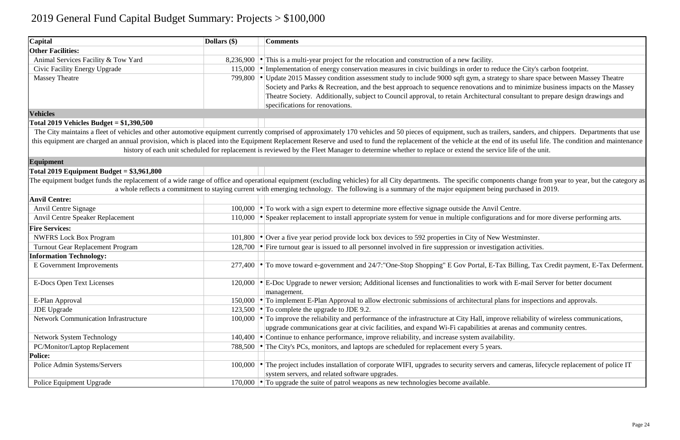| Capital                                     | Dollars (\$)      | <b>Comments</b>                                                                                                                                                                                            |
|---------------------------------------------|-------------------|------------------------------------------------------------------------------------------------------------------------------------------------------------------------------------------------------------|
| <b>Other Facilities:</b>                    |                   |                                                                                                                                                                                                            |
| Animal Services Facility & Tow Yard         | $8,236,900$       | This is a multi-year project for the relocation and construction of a new facility.                                                                                                                        |
| <b>Civic Facility Energy Upgrade</b>        | 115,000           | Implementation of energy conservation measures in civic buildings in order to reduce the City's c                                                                                                          |
| <b>Massey Theatre</b>                       | 799,800           | Update 2015 Massey condition assessment study to include 9000 sqft gym, a strategy to share spa                                                                                                            |
|                                             |                   | Society and Parks & Recreation, and the best approach to sequence renovations and to minimize                                                                                                              |
|                                             |                   | Theatre Society. Additionally, subject to Council approval, to retain Architectural consultant to p                                                                                                        |
|                                             |                   | specifications for renovations.                                                                                                                                                                            |
| <b>Vehicles</b>                             |                   |                                                                                                                                                                                                            |
| Total 2019 Vehicles Budget = $$1,390,500$   |                   |                                                                                                                                                                                                            |
|                                             |                   | The City maintains a fleet of vehicles and other automotive equipment currently comprised of approximately 170 vehicles and 50 pieces of equipment, such as trailers, sanders, and strailers, sanders, and |
|                                             |                   | this equipment are charged an annual provision, which is placed into the Equipment Replacement Reserve and used to fund the replacement of the vehicle at the end of its useful li                         |
|                                             |                   | history of each unit scheduled for replacement is reviewed by the Fleet Manager to determine whether to replace or extend the service life of the un                                                       |
| Equipment                                   |                   |                                                                                                                                                                                                            |
| Total 2019 Equipment Budget = $$3,961,800$  |                   |                                                                                                                                                                                                            |
|                                             |                   | The equipment budget funds the replacement of a wide range of office and operational equipment (excluding vehicles) for all City departments. The specific components change fr                            |
|                                             |                   | a whole reflects a commitment to staying current with emerging technology. The following is a summary of the major equipment being purchased in                                                            |
| <b>Anvil Centre:</b>                        |                   |                                                                                                                                                                                                            |
| Anvil Centre Signage                        |                   | 100,000 • To work with a sign expert to determine more effective signage outside the Anvil Centre.                                                                                                         |
| Anvil Centre Speaker Replacement            | 110,000           | Speaker replacement to install appropriate system for venue in multiple configurations and for mo                                                                                                          |
| <b>Fire Services:</b>                       |                   |                                                                                                                                                                                                            |
| <b>NWFRS Lock Box Program</b>               | 101,800           | • Over a five year period provide lock box devices to 592 properties in City of New Westminster.                                                                                                           |
| Turnout Gear Replacement Program            |                   | 128,700 • Fire turnout gear is issued to all personnel involved in fire suppression or investigation activities.                                                                                           |
| <b>Information Technology:</b>              |                   |                                                                                                                                                                                                            |
| E Government Improvements                   |                   | 277,400 • To move toward e-government and 24/7: "One-Stop Shopping" E Gov Portal, E-Tax Billing, Tax                                                                                                       |
|                                             |                   |                                                                                                                                                                                                            |
| <b>E-Docs Open Text Licenses</b>            |                   | 120,000   • E-Doc Upgrade to newer version; Additional licenses and functionalities to work with E-mail Ser                                                                                                |
|                                             |                   | management.                                                                                                                                                                                                |
| E-Plan Approval                             |                   | 150,000 • To implement E-Plan Approval to allow electronic submissions of architectural plans for inspectively                                                                                             |
| <b>JDE</b> Upgrade                          |                   | 123,500 $\bullet$ To complete the upgrade to JDE 9.2.                                                                                                                                                      |
| <b>Network Communication Infrastructure</b> |                   | 100,000 $\bullet$ To improve the reliability and performance of the infrastructure at City Hall, improve reliability of                                                                                    |
|                                             |                   | upgrade communications gear at civic facilities, and expand Wi-Fi capabilities at arenas and com                                                                                                           |
| <b>Network System Technology</b>            |                   | 140,400 $\bullet$ Continue to enhance performance, improve reliability, and increase system availability.                                                                                                  |
| PC/Monitor/Laptop Replacement               |                   | 788,500 • The City's PCs, monitors, and laptops are scheduled for replacement every 5 years.                                                                                                               |
| <b>Police:</b>                              |                   |                                                                                                                                                                                                            |
| Police Admin Systems/Servers                | $100,000$ $\cdot$ | The project includes installation of corporate WIFI, upgrades to security servers and cameras, life                                                                                                        |
|                                             |                   | system servers, and related software upgrades.                                                                                                                                                             |
| Police Equipment Upgrade                    |                   | 170,000 $\cdot$ To upgrade the suite of patrol weapons as new technologies become available.                                                                                                               |

educe the City's carbon footprint. ategy to share space between Massey Theatre and to minimize business impacts on the Massey ral consultant to prepare design drawings and

ilers, sanders, and chippers. Departments that use the of its useful life. The condition and maintenance vice life of the unit.

oonents change from year to year, but the category as ing purchased in 2019.

ations and for more diverse performing arts.

Tax Billing, Tax Credit payment, E-Tax Deferment.

with E-mail Server for better document

plans for inspections and approvals.

prove reliability of wireless communications, arenas and community centres.

and cameras, lifecycle replacement of police IT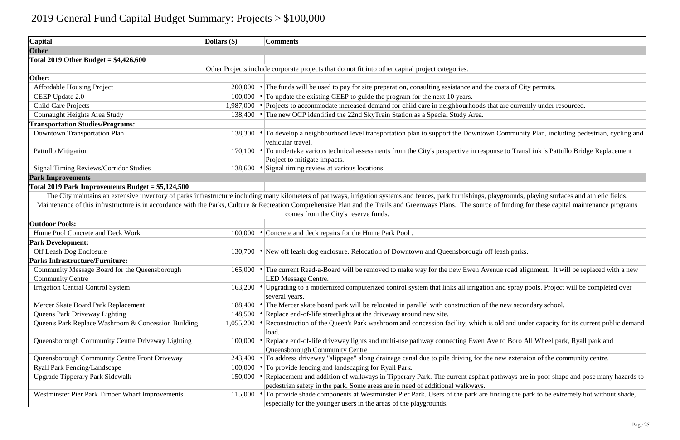| Capital                                                             | Dollars (\$) | <b>Comments</b>                                                                                                                                                                                                 |
|---------------------------------------------------------------------|--------------|-----------------------------------------------------------------------------------------------------------------------------------------------------------------------------------------------------------------|
| <b>Other</b>                                                        |              |                                                                                                                                                                                                                 |
| Total 2019 Other Budget = $$4,426,600$                              |              |                                                                                                                                                                                                                 |
|                                                                     |              | Other Projects include corporate projects that do not fit into other capital project categories.                                                                                                                |
| Other:                                                              |              |                                                                                                                                                                                                                 |
| <b>Affordable Housing Project</b>                                   |              | 200,000 $\bullet$ The funds will be used to pay for site preparation, consulting assistance and the costs of Cit                                                                                                |
| CEEP Update 2.0                                                     |              | 100,000 $\bullet$ To update the existing CEEP to guide the program for the next 10 years.                                                                                                                       |
| <b>Child Care Projects</b>                                          |              | 1,987,000 • Projects to accommodate increased demand for child care in neighbourhoods that are currer                                                                                                           |
| Connaught Heights Area Study                                        | 138,400      | • The new OCP identified the 22nd SkyTrain Station as a Special Study Area.                                                                                                                                     |
| <b>Transportation Studies/Programs:</b>                             |              |                                                                                                                                                                                                                 |
| Downtown Transportation Plan                                        |              | 138,300 • To develop a neighbourhood level transportation plan to support the Downtown Communit<br>vehicular travel.                                                                                            |
| Pattullo Mitigation                                                 |              | 170,100 $\bullet$ To undertake various technical assessments from the City's perspective in response to Trans<br>Project to mitigate impacts.                                                                   |
| <b>Signal Timing Reviews/Corridor Studies</b>                       |              | 138,600 • Signal timing review at various locations.                                                                                                                                                            |
| <b>Park Improvements</b>                                            |              |                                                                                                                                                                                                                 |
| Total 2019 Park Improvements Budget = $$5,124,500$                  |              |                                                                                                                                                                                                                 |
| <b>Outdoor Pools:</b>                                               |              | Maintenance of this infrastructure is in accordance with the Parks, Culture & Recreation Comprehensive Plan and the Trails and Greenways Plans. The source of funding f<br>comes from the City's reserve funds. |
|                                                                     |              |                                                                                                                                                                                                                 |
| Hume Pool Concrete and Deck Work                                    |              | 100,000 • Concrete and deck repairs for the Hume Park Pool.                                                                                                                                                     |
| <b>Park Development:</b>                                            |              |                                                                                                                                                                                                                 |
| Off Leash Dog Enclosure                                             | 130,700      | • New off leash dog enclosure. Relocation of Downtown and Queensborough off leash parks.                                                                                                                        |
| <b>Parks Infrastructure/Furniture:</b>                              |              |                                                                                                                                                                                                                 |
| Community Message Board for the Queensborough                       |              | 165,000 • The current Read-a-Board will be removed to make way for the new Ewen Avenue road alignt                                                                                                              |
| <b>Community Centre</b><br><b>Irrigation Central Control System</b> |              | <b>LED Message Centre.</b><br>163,200 • Upgrading to a modernized computerized control system that links all irrigation and spray p<br>several years.                                                           |
| Mercer Skate Board Park Replacement                                 | 188,400      | • The Mercer skate board park will be relocated in parallel with construction of the new secon                                                                                                                  |
| <b>Queens Park Driveway Lighting</b>                                | 148,500      | • Replace end-of-life streetlights at the driveway around new site.                                                                                                                                             |
| Queen's Park Replace Washroom & Concession Building                 | 1,055,200    | • Reconstruction of the Queen's Park washroom and concession facility, which is old and und<br>load.                                                                                                            |
| Queensborough Community Centre Driveway Lighting                    | 100,000      | • Replace end-of-life driveway lights and multi-use pathway connecting Ewen Ave to Boro A<br>Queensborough Community Centre                                                                                     |
| Queensborough Community Centre Front Driveway                       | 243,400      | • To address driveway "slippage" along drainage canal due to pile driving for the new extens                                                                                                                    |
| Ryall Park Fencing/Landscape                                        | 100,000      | • To provide fencing and landscaping for Ryall Park.                                                                                                                                                            |
| <b>Upgrade Tipperary Park Sidewalk</b>                              | 150,000      | • Replacement and addition of walkways in Tipperary Park. The current asphalt pathways are<br>pedestrian safety in the park. Some areas are in need of additional walkways.                                     |
| Westminster Pier Park Timber Wharf Improvements                     | 115,000      | $\cdot$ To provide shade components at Westminster Pier Park. Users of the park are finding the part<br>especially for the younger users in the areas of the playgrounds.                                       |

costs of City permits.

t are currently under resourced.

Community Plan, including pedestrian, cycling and

nse to TransLink 's Pattullo Bridge Replacement

aygrounds, playing surfaces and athletic fields. of funding for these capital maintenance programs

nue road alignment. It will be replaced with a new

and spray pools. Project will be completed over

e new secondary school.

old and under capacity for its current public demand

e to Boro All Wheel park, Ryall park and

new extension of the community centre.

athways are in poor shape and pose many hazards to

Inding the park to be extremely hot without shade,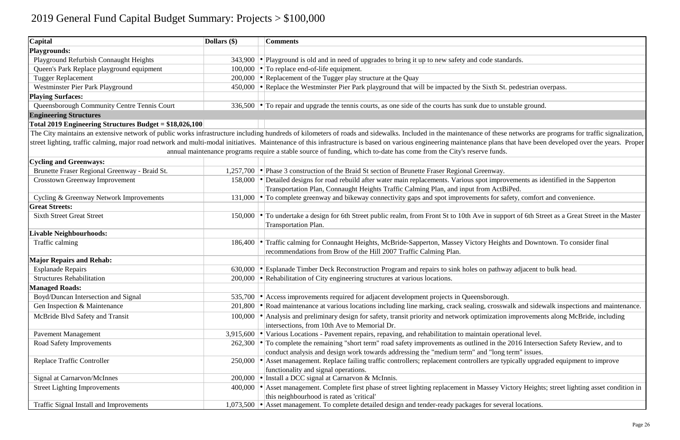| <b>Playgrounds:</b><br>Playground Refurbish Connaught Heights<br>343,900 • Playground is old and in need of upgrades to bring it up to new safety and code standards.<br>$\cdot$ To replace end-of-life equipment.<br>Queen's Park Replace playground equipment<br>100,000<br>200,000 • Replacement of the Tugger play structure at the Quay<br><b>Tugger Replacement</b><br>• Replace the Westminster Pier Park playground that will be impacted by the Sixth St. pedestrian ov<br>Westminster Pier Park Playground<br>450,000<br><b>Playing Surfaces:</b><br>336,500 $\cdot$ To repair and upgrade the tennis courts, as one side of the courts has sunk due to unstable ground<br>Queensborough Community Centre Tennis Court<br><b>Engineering Structures</b><br>Total 2019 Engineering Structures Budget = $$18,026,100$<br>The City maintains an extensive network of public works infrastructure including hundreds of kilometers of roads and sidewalks. Included in the maintenance of these networks are<br>street lighting, traffic calming, major road network and multi-modal initiatives. Maintenance of this infrastructure is based on various engineering maintenance plans that have been<br>annual maintenance programs require a stable source of funding, which to-date has come from the City's reserve funds.<br><b>Cycling and Greenways:</b><br>Brunette Fraser Regional Greenway - Braid St.<br>• Phase 3 construction of the Braid St section of Brunette Fraser Regional Greenway.<br>1,257,700<br>• Detailed designs for road rebuild after water main replacements. Various spot improvements as id<br><b>Crosstown Greenway Improvement</b><br>158,000<br>Transportation Plan, Connaught Heights Traffic Calming Plan, and input from ActBiPed.<br>• To complete greenway and bikeway connectivity gaps and spot improvements for safety, comfort<br>Cycling & Greenway Network Improvements<br>131,000<br><b>Great Streets:</b><br>• To undertake a design for 6th Street public realm, from Front St to 10th Ave in support of 6th Stre<br><b>Sixth Street Great Street</b><br>150,000<br>Transportation Plan.<br><b>Livable Neighbourhoods:</b><br>Traffic calming for Connaught Heights, McBride-Sapperton, Massey Victory Heights and Downto<br>Traffic calming<br>186,400<br>recommendations from Brow of the Hill 2007 Traffic Calming Plan.<br><b>Major Repairs and Rehab:</b><br>• Esplanade Timber Deck Reconstruction Program and repairs to sink holes on pathway adjacent to<br><b>Esplanade Repairs</b><br>630,000<br>200,000 $\cdot$ Rehabilitation of City engineering structures at various locations.<br><b>Structures Rehabilitation</b><br><b>Managed Roads:</b><br>Boyd/Duncan Intersection and Signal<br>535,700 • Access improvements required for adjacent development projects in Queensborough.<br>• Road maintenance at various locations including line marking, crack sealing, crosswalk and sidew<br>Gen Inspection & Maintenance<br>201,800<br>• Analysis and preliminary design for safety, transit priority and network optimization improvement<br>McBride Blvd Safety and Transit<br>100,000<br>intersections, from 10th Ave to Memorial Dr.<br>Various Locations - Pavement repairs, repaving, and rehabilitation to maintain operational level.<br><b>Pavement Management</b><br>3,915,600<br>• To complete the remaining "short term" road safety improvements as outlined in the 2016 Intersect<br>Road Safety Improvements<br>262,300<br>conduct analysis and design work towards addressing the "medium term" and "long term" issues.<br>Asset management. Replace failing traffic controllers; replacement controllers are typically upgrad<br><b>Replace Traffic Controller</b><br>250,000<br>functionality and signal operations.<br>• Install a DCC signal at Carnarvon & McInnis.<br>Signal at Carnarvon/McInnes<br>200,000<br>Asset management. Complete first phase of street lighting replacement in Massey Victory Heights<br><b>Street Lighting Improvements</b><br>400,000<br>this neighbourhood is rated as 'critical'<br>• Asset management. To complete detailed design and tender-ready packages for several locations.<br>Traffic Signal Install and Improvements<br>1,073,500 | <b>Capital</b> | Dollars (\$) | <b>Comments</b> |
|------------------------------------------------------------------------------------------------------------------------------------------------------------------------------------------------------------------------------------------------------------------------------------------------------------------------------------------------------------------------------------------------------------------------------------------------------------------------------------------------------------------------------------------------------------------------------------------------------------------------------------------------------------------------------------------------------------------------------------------------------------------------------------------------------------------------------------------------------------------------------------------------------------------------------------------------------------------------------------------------------------------------------------------------------------------------------------------------------------------------------------------------------------------------------------------------------------------------------------------------------------------------------------------------------------------------------------------------------------------------------------------------------------------------------------------------------------------------------------------------------------------------------------------------------------------------------------------------------------------------------------------------------------------------------------------------------------------------------------------------------------------------------------------------------------------------------------------------------------------------------------------------------------------------------------------------------------------------------------------------------------------------------------------------------------------------------------------------------------------------------------------------------------------------------------------------------------------------------------------------------------------------------------------------------------------------------------------------------------------------------------------------------------------------------------------------------------------------------------------------------------------------------------------------------------------------------------------------------------------------------------------------------------------------------------------------------------------------------------------------------------------------------------------------------------------------------------------------------------------------------------------------------------------------------------------------------------------------------------------------------------------------------------------------------------------------------------------------------------------------------------------------------------------------------------------------------------------------------------------------------------------------------------------------------------------------------------------------------------------------------------------------------------------------------------------------------------------------------------------------------------------------------------------------------------------------------------------------------------------------------------------------------------------------------------------------------------------------------------------------------------------------------------------------------------------------------------------------------------------------------------------------------------------------------------------------------------------------------------------------------------------------------------------------------------------------------------------------------------------------------------------------------------------------------------------------------------------------------------------------------------------------|----------------|--------------|-----------------|
|                                                                                                                                                                                                                                                                                                                                                                                                                                                                                                                                                                                                                                                                                                                                                                                                                                                                                                                                                                                                                                                                                                                                                                                                                                                                                                                                                                                                                                                                                                                                                                                                                                                                                                                                                                                                                                                                                                                                                                                                                                                                                                                                                                                                                                                                                                                                                                                                                                                                                                                                                                                                                                                                                                                                                                                                                                                                                                                                                                                                                                                                                                                                                                                                                                                                                                                                                                                                                                                                                                                                                                                                                                                                                                                                                                                                                                                                                                                                                                                                                                                                                                                                                                                                                                                                        |                |              |                 |
|                                                                                                                                                                                                                                                                                                                                                                                                                                                                                                                                                                                                                                                                                                                                                                                                                                                                                                                                                                                                                                                                                                                                                                                                                                                                                                                                                                                                                                                                                                                                                                                                                                                                                                                                                                                                                                                                                                                                                                                                                                                                                                                                                                                                                                                                                                                                                                                                                                                                                                                                                                                                                                                                                                                                                                                                                                                                                                                                                                                                                                                                                                                                                                                                                                                                                                                                                                                                                                                                                                                                                                                                                                                                                                                                                                                                                                                                                                                                                                                                                                                                                                                                                                                                                                                                        |                |              |                 |
|                                                                                                                                                                                                                                                                                                                                                                                                                                                                                                                                                                                                                                                                                                                                                                                                                                                                                                                                                                                                                                                                                                                                                                                                                                                                                                                                                                                                                                                                                                                                                                                                                                                                                                                                                                                                                                                                                                                                                                                                                                                                                                                                                                                                                                                                                                                                                                                                                                                                                                                                                                                                                                                                                                                                                                                                                                                                                                                                                                                                                                                                                                                                                                                                                                                                                                                                                                                                                                                                                                                                                                                                                                                                                                                                                                                                                                                                                                                                                                                                                                                                                                                                                                                                                                                                        |                |              |                 |
|                                                                                                                                                                                                                                                                                                                                                                                                                                                                                                                                                                                                                                                                                                                                                                                                                                                                                                                                                                                                                                                                                                                                                                                                                                                                                                                                                                                                                                                                                                                                                                                                                                                                                                                                                                                                                                                                                                                                                                                                                                                                                                                                                                                                                                                                                                                                                                                                                                                                                                                                                                                                                                                                                                                                                                                                                                                                                                                                                                                                                                                                                                                                                                                                                                                                                                                                                                                                                                                                                                                                                                                                                                                                                                                                                                                                                                                                                                                                                                                                                                                                                                                                                                                                                                                                        |                |              |                 |
|                                                                                                                                                                                                                                                                                                                                                                                                                                                                                                                                                                                                                                                                                                                                                                                                                                                                                                                                                                                                                                                                                                                                                                                                                                                                                                                                                                                                                                                                                                                                                                                                                                                                                                                                                                                                                                                                                                                                                                                                                                                                                                                                                                                                                                                                                                                                                                                                                                                                                                                                                                                                                                                                                                                                                                                                                                                                                                                                                                                                                                                                                                                                                                                                                                                                                                                                                                                                                                                                                                                                                                                                                                                                                                                                                                                                                                                                                                                                                                                                                                                                                                                                                                                                                                                                        |                |              |                 |
|                                                                                                                                                                                                                                                                                                                                                                                                                                                                                                                                                                                                                                                                                                                                                                                                                                                                                                                                                                                                                                                                                                                                                                                                                                                                                                                                                                                                                                                                                                                                                                                                                                                                                                                                                                                                                                                                                                                                                                                                                                                                                                                                                                                                                                                                                                                                                                                                                                                                                                                                                                                                                                                                                                                                                                                                                                                                                                                                                                                                                                                                                                                                                                                                                                                                                                                                                                                                                                                                                                                                                                                                                                                                                                                                                                                                                                                                                                                                                                                                                                                                                                                                                                                                                                                                        |                |              |                 |
|                                                                                                                                                                                                                                                                                                                                                                                                                                                                                                                                                                                                                                                                                                                                                                                                                                                                                                                                                                                                                                                                                                                                                                                                                                                                                                                                                                                                                                                                                                                                                                                                                                                                                                                                                                                                                                                                                                                                                                                                                                                                                                                                                                                                                                                                                                                                                                                                                                                                                                                                                                                                                                                                                                                                                                                                                                                                                                                                                                                                                                                                                                                                                                                                                                                                                                                                                                                                                                                                                                                                                                                                                                                                                                                                                                                                                                                                                                                                                                                                                                                                                                                                                                                                                                                                        |                |              |                 |
|                                                                                                                                                                                                                                                                                                                                                                                                                                                                                                                                                                                                                                                                                                                                                                                                                                                                                                                                                                                                                                                                                                                                                                                                                                                                                                                                                                                                                                                                                                                                                                                                                                                                                                                                                                                                                                                                                                                                                                                                                                                                                                                                                                                                                                                                                                                                                                                                                                                                                                                                                                                                                                                                                                                                                                                                                                                                                                                                                                                                                                                                                                                                                                                                                                                                                                                                                                                                                                                                                                                                                                                                                                                                                                                                                                                                                                                                                                                                                                                                                                                                                                                                                                                                                                                                        |                |              |                 |
|                                                                                                                                                                                                                                                                                                                                                                                                                                                                                                                                                                                                                                                                                                                                                                                                                                                                                                                                                                                                                                                                                                                                                                                                                                                                                                                                                                                                                                                                                                                                                                                                                                                                                                                                                                                                                                                                                                                                                                                                                                                                                                                                                                                                                                                                                                                                                                                                                                                                                                                                                                                                                                                                                                                                                                                                                                                                                                                                                                                                                                                                                                                                                                                                                                                                                                                                                                                                                                                                                                                                                                                                                                                                                                                                                                                                                                                                                                                                                                                                                                                                                                                                                                                                                                                                        |                |              |                 |
|                                                                                                                                                                                                                                                                                                                                                                                                                                                                                                                                                                                                                                                                                                                                                                                                                                                                                                                                                                                                                                                                                                                                                                                                                                                                                                                                                                                                                                                                                                                                                                                                                                                                                                                                                                                                                                                                                                                                                                                                                                                                                                                                                                                                                                                                                                                                                                                                                                                                                                                                                                                                                                                                                                                                                                                                                                                                                                                                                                                                                                                                                                                                                                                                                                                                                                                                                                                                                                                                                                                                                                                                                                                                                                                                                                                                                                                                                                                                                                                                                                                                                                                                                                                                                                                                        |                |              |                 |
|                                                                                                                                                                                                                                                                                                                                                                                                                                                                                                                                                                                                                                                                                                                                                                                                                                                                                                                                                                                                                                                                                                                                                                                                                                                                                                                                                                                                                                                                                                                                                                                                                                                                                                                                                                                                                                                                                                                                                                                                                                                                                                                                                                                                                                                                                                                                                                                                                                                                                                                                                                                                                                                                                                                                                                                                                                                                                                                                                                                                                                                                                                                                                                                                                                                                                                                                                                                                                                                                                                                                                                                                                                                                                                                                                                                                                                                                                                                                                                                                                                                                                                                                                                                                                                                                        |                |              |                 |
|                                                                                                                                                                                                                                                                                                                                                                                                                                                                                                                                                                                                                                                                                                                                                                                                                                                                                                                                                                                                                                                                                                                                                                                                                                                                                                                                                                                                                                                                                                                                                                                                                                                                                                                                                                                                                                                                                                                                                                                                                                                                                                                                                                                                                                                                                                                                                                                                                                                                                                                                                                                                                                                                                                                                                                                                                                                                                                                                                                                                                                                                                                                                                                                                                                                                                                                                                                                                                                                                                                                                                                                                                                                                                                                                                                                                                                                                                                                                                                                                                                                                                                                                                                                                                                                                        |                |              |                 |
|                                                                                                                                                                                                                                                                                                                                                                                                                                                                                                                                                                                                                                                                                                                                                                                                                                                                                                                                                                                                                                                                                                                                                                                                                                                                                                                                                                                                                                                                                                                                                                                                                                                                                                                                                                                                                                                                                                                                                                                                                                                                                                                                                                                                                                                                                                                                                                                                                                                                                                                                                                                                                                                                                                                                                                                                                                                                                                                                                                                                                                                                                                                                                                                                                                                                                                                                                                                                                                                                                                                                                                                                                                                                                                                                                                                                                                                                                                                                                                                                                                                                                                                                                                                                                                                                        |                |              |                 |
|                                                                                                                                                                                                                                                                                                                                                                                                                                                                                                                                                                                                                                                                                                                                                                                                                                                                                                                                                                                                                                                                                                                                                                                                                                                                                                                                                                                                                                                                                                                                                                                                                                                                                                                                                                                                                                                                                                                                                                                                                                                                                                                                                                                                                                                                                                                                                                                                                                                                                                                                                                                                                                                                                                                                                                                                                                                                                                                                                                                                                                                                                                                                                                                                                                                                                                                                                                                                                                                                                                                                                                                                                                                                                                                                                                                                                                                                                                                                                                                                                                                                                                                                                                                                                                                                        |                |              |                 |
|                                                                                                                                                                                                                                                                                                                                                                                                                                                                                                                                                                                                                                                                                                                                                                                                                                                                                                                                                                                                                                                                                                                                                                                                                                                                                                                                                                                                                                                                                                                                                                                                                                                                                                                                                                                                                                                                                                                                                                                                                                                                                                                                                                                                                                                                                                                                                                                                                                                                                                                                                                                                                                                                                                                                                                                                                                                                                                                                                                                                                                                                                                                                                                                                                                                                                                                                                                                                                                                                                                                                                                                                                                                                                                                                                                                                                                                                                                                                                                                                                                                                                                                                                                                                                                                                        |                |              |                 |
|                                                                                                                                                                                                                                                                                                                                                                                                                                                                                                                                                                                                                                                                                                                                                                                                                                                                                                                                                                                                                                                                                                                                                                                                                                                                                                                                                                                                                                                                                                                                                                                                                                                                                                                                                                                                                                                                                                                                                                                                                                                                                                                                                                                                                                                                                                                                                                                                                                                                                                                                                                                                                                                                                                                                                                                                                                                                                                                                                                                                                                                                                                                                                                                                                                                                                                                                                                                                                                                                                                                                                                                                                                                                                                                                                                                                                                                                                                                                                                                                                                                                                                                                                                                                                                                                        |                |              |                 |
|                                                                                                                                                                                                                                                                                                                                                                                                                                                                                                                                                                                                                                                                                                                                                                                                                                                                                                                                                                                                                                                                                                                                                                                                                                                                                                                                                                                                                                                                                                                                                                                                                                                                                                                                                                                                                                                                                                                                                                                                                                                                                                                                                                                                                                                                                                                                                                                                                                                                                                                                                                                                                                                                                                                                                                                                                                                                                                                                                                                                                                                                                                                                                                                                                                                                                                                                                                                                                                                                                                                                                                                                                                                                                                                                                                                                                                                                                                                                                                                                                                                                                                                                                                                                                                                                        |                |              |                 |
|                                                                                                                                                                                                                                                                                                                                                                                                                                                                                                                                                                                                                                                                                                                                                                                                                                                                                                                                                                                                                                                                                                                                                                                                                                                                                                                                                                                                                                                                                                                                                                                                                                                                                                                                                                                                                                                                                                                                                                                                                                                                                                                                                                                                                                                                                                                                                                                                                                                                                                                                                                                                                                                                                                                                                                                                                                                                                                                                                                                                                                                                                                                                                                                                                                                                                                                                                                                                                                                                                                                                                                                                                                                                                                                                                                                                                                                                                                                                                                                                                                                                                                                                                                                                                                                                        |                |              |                 |
|                                                                                                                                                                                                                                                                                                                                                                                                                                                                                                                                                                                                                                                                                                                                                                                                                                                                                                                                                                                                                                                                                                                                                                                                                                                                                                                                                                                                                                                                                                                                                                                                                                                                                                                                                                                                                                                                                                                                                                                                                                                                                                                                                                                                                                                                                                                                                                                                                                                                                                                                                                                                                                                                                                                                                                                                                                                                                                                                                                                                                                                                                                                                                                                                                                                                                                                                                                                                                                                                                                                                                                                                                                                                                                                                                                                                                                                                                                                                                                                                                                                                                                                                                                                                                                                                        |                |              |                 |
|                                                                                                                                                                                                                                                                                                                                                                                                                                                                                                                                                                                                                                                                                                                                                                                                                                                                                                                                                                                                                                                                                                                                                                                                                                                                                                                                                                                                                                                                                                                                                                                                                                                                                                                                                                                                                                                                                                                                                                                                                                                                                                                                                                                                                                                                                                                                                                                                                                                                                                                                                                                                                                                                                                                                                                                                                                                                                                                                                                                                                                                                                                                                                                                                                                                                                                                                                                                                                                                                                                                                                                                                                                                                                                                                                                                                                                                                                                                                                                                                                                                                                                                                                                                                                                                                        |                |              |                 |
|                                                                                                                                                                                                                                                                                                                                                                                                                                                                                                                                                                                                                                                                                                                                                                                                                                                                                                                                                                                                                                                                                                                                                                                                                                                                                                                                                                                                                                                                                                                                                                                                                                                                                                                                                                                                                                                                                                                                                                                                                                                                                                                                                                                                                                                                                                                                                                                                                                                                                                                                                                                                                                                                                                                                                                                                                                                                                                                                                                                                                                                                                                                                                                                                                                                                                                                                                                                                                                                                                                                                                                                                                                                                                                                                                                                                                                                                                                                                                                                                                                                                                                                                                                                                                                                                        |                |              |                 |
|                                                                                                                                                                                                                                                                                                                                                                                                                                                                                                                                                                                                                                                                                                                                                                                                                                                                                                                                                                                                                                                                                                                                                                                                                                                                                                                                                                                                                                                                                                                                                                                                                                                                                                                                                                                                                                                                                                                                                                                                                                                                                                                                                                                                                                                                                                                                                                                                                                                                                                                                                                                                                                                                                                                                                                                                                                                                                                                                                                                                                                                                                                                                                                                                                                                                                                                                                                                                                                                                                                                                                                                                                                                                                                                                                                                                                                                                                                                                                                                                                                                                                                                                                                                                                                                                        |                |              |                 |
|                                                                                                                                                                                                                                                                                                                                                                                                                                                                                                                                                                                                                                                                                                                                                                                                                                                                                                                                                                                                                                                                                                                                                                                                                                                                                                                                                                                                                                                                                                                                                                                                                                                                                                                                                                                                                                                                                                                                                                                                                                                                                                                                                                                                                                                                                                                                                                                                                                                                                                                                                                                                                                                                                                                                                                                                                                                                                                                                                                                                                                                                                                                                                                                                                                                                                                                                                                                                                                                                                                                                                                                                                                                                                                                                                                                                                                                                                                                                                                                                                                                                                                                                                                                                                                                                        |                |              |                 |
|                                                                                                                                                                                                                                                                                                                                                                                                                                                                                                                                                                                                                                                                                                                                                                                                                                                                                                                                                                                                                                                                                                                                                                                                                                                                                                                                                                                                                                                                                                                                                                                                                                                                                                                                                                                                                                                                                                                                                                                                                                                                                                                                                                                                                                                                                                                                                                                                                                                                                                                                                                                                                                                                                                                                                                                                                                                                                                                                                                                                                                                                                                                                                                                                                                                                                                                                                                                                                                                                                                                                                                                                                                                                                                                                                                                                                                                                                                                                                                                                                                                                                                                                                                                                                                                                        |                |              |                 |
|                                                                                                                                                                                                                                                                                                                                                                                                                                                                                                                                                                                                                                                                                                                                                                                                                                                                                                                                                                                                                                                                                                                                                                                                                                                                                                                                                                                                                                                                                                                                                                                                                                                                                                                                                                                                                                                                                                                                                                                                                                                                                                                                                                                                                                                                                                                                                                                                                                                                                                                                                                                                                                                                                                                                                                                                                                                                                                                                                                                                                                                                                                                                                                                                                                                                                                                                                                                                                                                                                                                                                                                                                                                                                                                                                                                                                                                                                                                                                                                                                                                                                                                                                                                                                                                                        |                |              |                 |
|                                                                                                                                                                                                                                                                                                                                                                                                                                                                                                                                                                                                                                                                                                                                                                                                                                                                                                                                                                                                                                                                                                                                                                                                                                                                                                                                                                                                                                                                                                                                                                                                                                                                                                                                                                                                                                                                                                                                                                                                                                                                                                                                                                                                                                                                                                                                                                                                                                                                                                                                                                                                                                                                                                                                                                                                                                                                                                                                                                                                                                                                                                                                                                                                                                                                                                                                                                                                                                                                                                                                                                                                                                                                                                                                                                                                                                                                                                                                                                                                                                                                                                                                                                                                                                                                        |                |              |                 |
|                                                                                                                                                                                                                                                                                                                                                                                                                                                                                                                                                                                                                                                                                                                                                                                                                                                                                                                                                                                                                                                                                                                                                                                                                                                                                                                                                                                                                                                                                                                                                                                                                                                                                                                                                                                                                                                                                                                                                                                                                                                                                                                                                                                                                                                                                                                                                                                                                                                                                                                                                                                                                                                                                                                                                                                                                                                                                                                                                                                                                                                                                                                                                                                                                                                                                                                                                                                                                                                                                                                                                                                                                                                                                                                                                                                                                                                                                                                                                                                                                                                                                                                                                                                                                                                                        |                |              |                 |
|                                                                                                                                                                                                                                                                                                                                                                                                                                                                                                                                                                                                                                                                                                                                                                                                                                                                                                                                                                                                                                                                                                                                                                                                                                                                                                                                                                                                                                                                                                                                                                                                                                                                                                                                                                                                                                                                                                                                                                                                                                                                                                                                                                                                                                                                                                                                                                                                                                                                                                                                                                                                                                                                                                                                                                                                                                                                                                                                                                                                                                                                                                                                                                                                                                                                                                                                                                                                                                                                                                                                                                                                                                                                                                                                                                                                                                                                                                                                                                                                                                                                                                                                                                                                                                                                        |                |              |                 |
|                                                                                                                                                                                                                                                                                                                                                                                                                                                                                                                                                                                                                                                                                                                                                                                                                                                                                                                                                                                                                                                                                                                                                                                                                                                                                                                                                                                                                                                                                                                                                                                                                                                                                                                                                                                                                                                                                                                                                                                                                                                                                                                                                                                                                                                                                                                                                                                                                                                                                                                                                                                                                                                                                                                                                                                                                                                                                                                                                                                                                                                                                                                                                                                                                                                                                                                                                                                                                                                                                                                                                                                                                                                                                                                                                                                                                                                                                                                                                                                                                                                                                                                                                                                                                                                                        |                |              |                 |
|                                                                                                                                                                                                                                                                                                                                                                                                                                                                                                                                                                                                                                                                                                                                                                                                                                                                                                                                                                                                                                                                                                                                                                                                                                                                                                                                                                                                                                                                                                                                                                                                                                                                                                                                                                                                                                                                                                                                                                                                                                                                                                                                                                                                                                                                                                                                                                                                                                                                                                                                                                                                                                                                                                                                                                                                                                                                                                                                                                                                                                                                                                                                                                                                                                                                                                                                                                                                                                                                                                                                                                                                                                                                                                                                                                                                                                                                                                                                                                                                                                                                                                                                                                                                                                                                        |                |              |                 |
|                                                                                                                                                                                                                                                                                                                                                                                                                                                                                                                                                                                                                                                                                                                                                                                                                                                                                                                                                                                                                                                                                                                                                                                                                                                                                                                                                                                                                                                                                                                                                                                                                                                                                                                                                                                                                                                                                                                                                                                                                                                                                                                                                                                                                                                                                                                                                                                                                                                                                                                                                                                                                                                                                                                                                                                                                                                                                                                                                                                                                                                                                                                                                                                                                                                                                                                                                                                                                                                                                                                                                                                                                                                                                                                                                                                                                                                                                                                                                                                                                                                                                                                                                                                                                                                                        |                |              |                 |
|                                                                                                                                                                                                                                                                                                                                                                                                                                                                                                                                                                                                                                                                                                                                                                                                                                                                                                                                                                                                                                                                                                                                                                                                                                                                                                                                                                                                                                                                                                                                                                                                                                                                                                                                                                                                                                                                                                                                                                                                                                                                                                                                                                                                                                                                                                                                                                                                                                                                                                                                                                                                                                                                                                                                                                                                                                                                                                                                                                                                                                                                                                                                                                                                                                                                                                                                                                                                                                                                                                                                                                                                                                                                                                                                                                                                                                                                                                                                                                                                                                                                                                                                                                                                                                                                        |                |              |                 |
|                                                                                                                                                                                                                                                                                                                                                                                                                                                                                                                                                                                                                                                                                                                                                                                                                                                                                                                                                                                                                                                                                                                                                                                                                                                                                                                                                                                                                                                                                                                                                                                                                                                                                                                                                                                                                                                                                                                                                                                                                                                                                                                                                                                                                                                                                                                                                                                                                                                                                                                                                                                                                                                                                                                                                                                                                                                                                                                                                                                                                                                                                                                                                                                                                                                                                                                                                                                                                                                                                                                                                                                                                                                                                                                                                                                                                                                                                                                                                                                                                                                                                                                                                                                                                                                                        |                |              |                 |
|                                                                                                                                                                                                                                                                                                                                                                                                                                                                                                                                                                                                                                                                                                                                                                                                                                                                                                                                                                                                                                                                                                                                                                                                                                                                                                                                                                                                                                                                                                                                                                                                                                                                                                                                                                                                                                                                                                                                                                                                                                                                                                                                                                                                                                                                                                                                                                                                                                                                                                                                                                                                                                                                                                                                                                                                                                                                                                                                                                                                                                                                                                                                                                                                                                                                                                                                                                                                                                                                                                                                                                                                                                                                                                                                                                                                                                                                                                                                                                                                                                                                                                                                                                                                                                                                        |                |              |                 |
|                                                                                                                                                                                                                                                                                                                                                                                                                                                                                                                                                                                                                                                                                                                                                                                                                                                                                                                                                                                                                                                                                                                                                                                                                                                                                                                                                                                                                                                                                                                                                                                                                                                                                                                                                                                                                                                                                                                                                                                                                                                                                                                                                                                                                                                                                                                                                                                                                                                                                                                                                                                                                                                                                                                                                                                                                                                                                                                                                                                                                                                                                                                                                                                                                                                                                                                                                                                                                                                                                                                                                                                                                                                                                                                                                                                                                                                                                                                                                                                                                                                                                                                                                                                                                                                                        |                |              |                 |
|                                                                                                                                                                                                                                                                                                                                                                                                                                                                                                                                                                                                                                                                                                                                                                                                                                                                                                                                                                                                                                                                                                                                                                                                                                                                                                                                                                                                                                                                                                                                                                                                                                                                                                                                                                                                                                                                                                                                                                                                                                                                                                                                                                                                                                                                                                                                                                                                                                                                                                                                                                                                                                                                                                                                                                                                                                                                                                                                                                                                                                                                                                                                                                                                                                                                                                                                                                                                                                                                                                                                                                                                                                                                                                                                                                                                                                                                                                                                                                                                                                                                                                                                                                                                                                                                        |                |              |                 |
|                                                                                                                                                                                                                                                                                                                                                                                                                                                                                                                                                                                                                                                                                                                                                                                                                                                                                                                                                                                                                                                                                                                                                                                                                                                                                                                                                                                                                                                                                                                                                                                                                                                                                                                                                                                                                                                                                                                                                                                                                                                                                                                                                                                                                                                                                                                                                                                                                                                                                                                                                                                                                                                                                                                                                                                                                                                                                                                                                                                                                                                                                                                                                                                                                                                                                                                                                                                                                                                                                                                                                                                                                                                                                                                                                                                                                                                                                                                                                                                                                                                                                                                                                                                                                                                                        |                |              |                 |
|                                                                                                                                                                                                                                                                                                                                                                                                                                                                                                                                                                                                                                                                                                                                                                                                                                                                                                                                                                                                                                                                                                                                                                                                                                                                                                                                                                                                                                                                                                                                                                                                                                                                                                                                                                                                                                                                                                                                                                                                                                                                                                                                                                                                                                                                                                                                                                                                                                                                                                                                                                                                                                                                                                                                                                                                                                                                                                                                                                                                                                                                                                                                                                                                                                                                                                                                                                                                                                                                                                                                                                                                                                                                                                                                                                                                                                                                                                                                                                                                                                                                                                                                                                                                                                                                        |                |              |                 |
|                                                                                                                                                                                                                                                                                                                                                                                                                                                                                                                                                                                                                                                                                                                                                                                                                                                                                                                                                                                                                                                                                                                                                                                                                                                                                                                                                                                                                                                                                                                                                                                                                                                                                                                                                                                                                                                                                                                                                                                                                                                                                                                                                                                                                                                                                                                                                                                                                                                                                                                                                                                                                                                                                                                                                                                                                                                                                                                                                                                                                                                                                                                                                                                                                                                                                                                                                                                                                                                                                                                                                                                                                                                                                                                                                                                                                                                                                                                                                                                                                                                                                                                                                                                                                                                                        |                |              |                 |

St. pedestrian overpass.

nese networks are programs for traffic signalization, ins that have been developed over the years. Proper

provements as identified in the Sapperton

r safety, comfort and convenience.

upport of 6th Street as a Great Street in the Master

ights and Downtown. To consider final

hway adjacent to bulk head.

sswalk and sidewalk inspections and maintenance.

tion improvements along McBride, including

the 2016 Intersection Safety Review, and to ong term" issues.

re typically upgraded equipment to improve

Victory Heights; street lighting asset condition in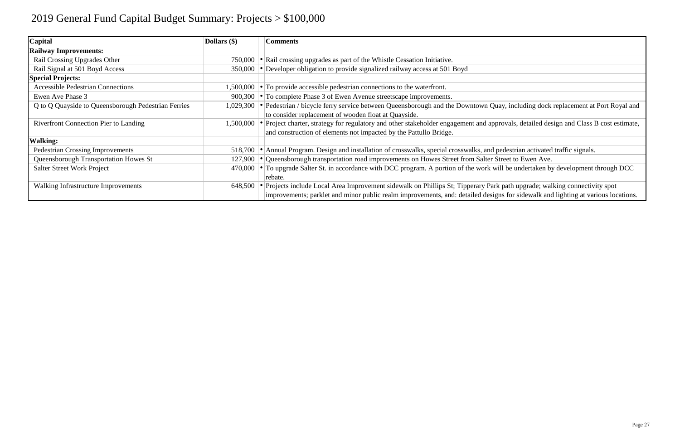| <b>Capital</b>                                      | Dollars $(\$)$ | <b>Comments</b>                                                                                                                                                                                                                                                       |
|-----------------------------------------------------|----------------|-----------------------------------------------------------------------------------------------------------------------------------------------------------------------------------------------------------------------------------------------------------------------|
| <b>Railway Improvements:</b>                        |                |                                                                                                                                                                                                                                                                       |
| Rail Crossing Upgrades Other                        |                | 750,000 $\bullet$ Rail crossing upgrades as part of the Whistle Cessation Initiative.                                                                                                                                                                                 |
| Rail Signal at 501 Boyd Access                      |                | 350,000 • Developer obligation to provide signalized railway access at 501 Boyd                                                                                                                                                                                       |
| <b>Special Projects:</b>                            |                |                                                                                                                                                                                                                                                                       |
| <b>Accessible Pedestrian Connections</b>            |                | 1,500,000 $\bullet$ To provide accessible pedestrian connections to the waterfront.                                                                                                                                                                                   |
| Ewen Ave Phase 3                                    |                | 900,300 $\cdot$ To complete Phase 3 of Ewen Avenue streetscape improvements.                                                                                                                                                                                          |
| Q to Q Quayside to Queensborough Pedestrian Ferries |                | 1,029,300 • Pedestrian / bicycle ferry service between Queensborough and the Downtown Quay, including dock replacement at Port Royal and<br>to consider replacement of wooden float at Quayside.                                                                      |
| <b>Riverfront Connection Pier to Landing</b>        |                | 1,500,000 • Project charter, strategy for regulatory and other stakeholder engagement and approvals, detailed design and Class B cost estimate,<br>and construction of elements not impacted by the Pattullo Bridge.                                                  |
| <b>Walking:</b>                                     |                |                                                                                                                                                                                                                                                                       |
| <b>Pedestrian Crossing Improvements</b>             |                | 518,700 • Annual Program. Design and installation of crosswalks, special crosswalks, and pedestrian activated traffic signals.                                                                                                                                        |
| Queensborough Transportation Howes St               |                | 127,900 • Queensborough transportation road improvements on Howes Street from Salter Street to Ewen Ave.                                                                                                                                                              |
| <b>Salter Street Work Project</b>                   |                | 470,000 $\cdot$ To upgrade Salter St. in accordance with DCC program. A portion of the work will be undertaken by development through DCC<br>rebate.                                                                                                                  |
| Walking Infrastructure Improvements                 |                | 648,500 • Projects include Local Area Improvement sidewalk on Phillips St; Tipperary Park path upgrade; walking connectivity spot<br>improvements; parklet and minor public realm improvements, and: detailed designs for sidewalk and lighting at various locations. |

| ay, including dock replacement at Port Royal and |  |  |
|--------------------------------------------------|--|--|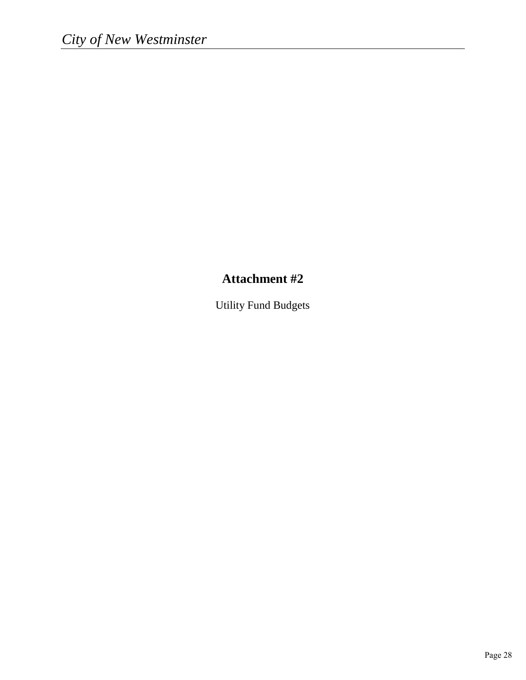## **Attachment #2**

Utility Fund Budgets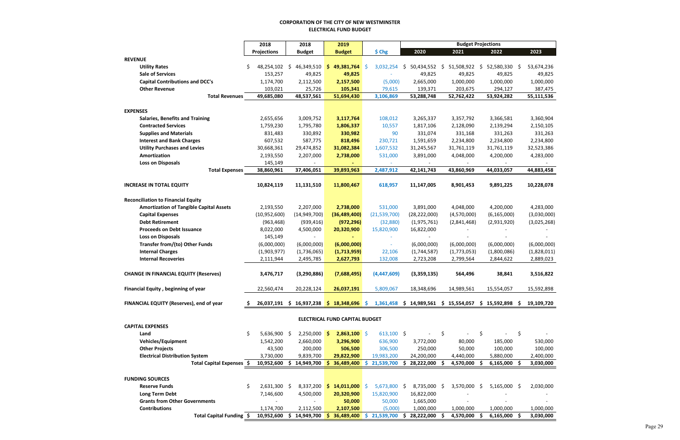#### **CORPORATION OF THE CITY OF NEW WESTMINSTER ELECTRICAL FUND BUDGET**

|                                                | 2018               | 2018                                              | 2019                                  |                   |                                         | <b>Budget Projections</b> |                 |                  |  |
|------------------------------------------------|--------------------|---------------------------------------------------|---------------------------------------|-------------------|-----------------------------------------|---------------------------|-----------------|------------------|--|
|                                                | <b>Projections</b> | <b>Budget</b>                                     | <b>Budget</b>                         | \$ <sub>chg</sub> | 2020                                    | 2021                      | 2022            | 2023             |  |
| <b>REVENUE</b>                                 |                    |                                                   |                                       |                   |                                         |                           |                 |                  |  |
| <b>Utility Rates</b>                           | 48,254,102         | 46,349,510<br>S.                                  | 49,381,764<br>\$.                     | 3,032,254<br>-S   | 50,434,552<br>\$.                       | 51,508,922<br>\$.         | 52,580,330<br>S | 53,674,236<br>-S |  |
| <b>Sale of Services</b>                        | 153,257            | 49,825                                            | 49,825                                |                   | 49,825                                  | 49,825                    | 49,825          | 49,825           |  |
| <b>Capital Contributions and DCC's</b>         | 1,174,700          | 2,112,500                                         | 2,157,500                             | (5,000)           | 2,665,000                               | 1,000,000                 | 1,000,000       | 1,000,000        |  |
| <b>Other Revenue</b>                           | 103,021            | 25,726                                            | 105,341                               | 79,615            | 139,371                                 | 203,675                   | 294,127         | 387,475          |  |
| <b>Total Revenues</b>                          | 49,685,080         | 48,537,561                                        | 51,694,430                            | 3,106,869         | 53,288,748                              | 52,762,422                | 53,924,282      | 55,111,536       |  |
|                                                |                    |                                                   |                                       |                   |                                         |                           |                 |                  |  |
| <b>EXPENSES</b>                                |                    |                                                   |                                       |                   |                                         |                           |                 |                  |  |
| <b>Salaries, Benefits and Training</b>         | 2,655,656          | 3,009,752                                         | 3,117,764                             | 108,012           | 3,265,337                               | 3,357,792                 | 3,366,581       | 3,360,904        |  |
| <b>Contracted Services</b>                     | 1,759,230          | 1,795,780                                         | 1,806,337                             | 10,557            | 1,817,106                               | 2,128,090                 | 2,139,294       | 2,150,105        |  |
| <b>Supplies and Materials</b>                  | 831,483            | 330,892                                           | 330,982                               | 90                | 331,074                                 | 331,168                   | 331,263         | 331,263          |  |
| <b>Interest and Bank Charges</b>               | 607,532            | 587,775                                           | 818,496                               | 230,721           | 1,591,659                               | 2,234,800                 | 2,234,800       | 2,234,800        |  |
| <b>Utility Purchases and Levies</b>            | 30,668,361         | 29,474,852                                        | 31,082,384                            | 1,607,532         | 31,245,567                              | 31,761,119                | 31,761,119      | 32,523,386       |  |
| Amortization                                   | 2,193,550          | 2,207,000                                         | 2,738,000                             | 531,000           | 3,891,000                               | 4,048,000                 | 4,200,000       | 4,283,000        |  |
| <b>Loss on Disposals</b>                       | 145,149            |                                                   |                                       |                   |                                         |                           |                 |                  |  |
| <b>Total Expenses</b>                          | 38,860,961         | 37,406,051                                        | 39,893,963                            | 2,487,912         | 42,141,743                              | 43,860,969                | 44,033,057      | 44,883,458       |  |
|                                                |                    |                                                   |                                       |                   |                                         |                           |                 |                  |  |
| <b>INCREASE IN TOTAL EQUITY</b>                | 10,824,119         | 11,131,510                                        | 11,800,467                            | 618,957           | 11,147,005                              | 8,901,453                 | 9,891,225       | 10,228,078       |  |
|                                                |                    |                                                   |                                       |                   |                                         |                           |                 |                  |  |
| <b>Reconciliation to Financial Equity</b>      |                    |                                                   |                                       |                   |                                         |                           |                 |                  |  |
| <b>Amortization of Tangible Capital Assets</b> | 2,193,550          | 2,207,000                                         | 2,738,000                             | 531,000           | 3,891,000                               | 4,048,000                 | 4,200,000       | 4,283,000        |  |
| <b>Capital Expenses</b>                        | (10,952,600)       | (14, 949, 700)                                    | (36, 489, 400)                        | (21,539,700)      | (28, 222, 000)                          | (4,570,000)               | (6, 165, 000)   | (3,030,000)      |  |
| <b>Debt Retirement</b>                         | (963, 468)         | (939, 416)                                        | (972, 296)                            | (32,880)          | (1,975,761)                             | (2,841,468)               | (2,931,920)     | (3,025,268)      |  |
| <b>Proceeds on Debt Issuance</b>               | 8,022,000          | 4,500,000                                         | 20,320,900                            | 15,820,900        | 16,822,000                              |                           |                 |                  |  |
| <b>Loss on Disposals</b>                       | 145,149            |                                                   |                                       |                   |                                         |                           |                 |                  |  |
| Transfer from/(to) Other Funds                 | (6,000,000)        | (6,000,000)                                       | (6,000,000)                           |                   | (6,000,000)                             | (6,000,000)               | (6,000,000)     | (6,000,000)      |  |
| <b>Internal Charges</b>                        | (1,903,977)        | (1,736,065)                                       | (1,713,959)                           | 22,106            | (1,744,587)                             | (1,773,053)               | (1,800,086)     | (1,828,011)      |  |
| <b>Internal Recoveries</b>                     | 2,111,944          | 2,495,785                                         | 2,627,793                             | 132,008           | 2,723,208                               | 2,799,564                 | 2,844,622       | 2,889,023        |  |
|                                                |                    |                                                   |                                       |                   |                                         |                           |                 |                  |  |
| <b>CHANGE IN FINANCIAL EQUITY (Reserves)</b>   | 3,476,717          | (3, 290, 886)                                     | (7,688,495)                           | (4,447,609)       | (3,359,135)                             | 564,496                   | 38,841          | 3,516,822        |  |
|                                                |                    |                                                   |                                       |                   |                                         |                           |                 |                  |  |
| Financial Equity, beginning of year            | 22,560,474         | 20,228,124                                        | 26,037,191                            | 5,809,067         | 18,348,696                              | 14,989,561                | 15,554,057      | 15,592,898       |  |
|                                                |                    |                                                   |                                       |                   |                                         |                           |                 |                  |  |
| FINANCIAL EQUITY (Reserves), end of year       |                    | $26,037,191 \div 16,937,238 \div 18,348,696 \div$ |                                       |                   | $1,361,458$ \$ 14,989,561 \$ 15,554,057 |                           | \$15,592,898\$  | 19,109,720       |  |
|                                                |                    |                                                   |                                       |                   |                                         |                           |                 |                  |  |
|                                                |                    |                                                   | <b>ELECTRICAL FUND CAPITAL BUDGET</b> |                   |                                         |                           |                 |                  |  |
| <b>CAPITAL EXPENSES</b>                        |                    |                                                   |                                       |                   |                                         |                           |                 |                  |  |
| Land                                           | $5,636,900$ \$     | $2,250,000$ \$                                    | $2,863,100$ \$                        | $613,100$ \$      |                                         | \$                        | \$              | \$               |  |
| <b>Vehicles/Equipment</b>                      | 1,542,200          | 2,660,000                                         | 3,296,900                             | 636,900           | 3,772,000                               | 80,000                    | 185,000         | 530,000          |  |
| <b>Other Projects</b>                          | 43,500             | 200,000                                           | 506,500                               | 306,500           | 250,000                                 | 50,000                    | 100,000         | 100,000          |  |
| <b>Electrical Distribution System</b>          | 3,730,000          | 9,839,700                                         | 29,822,900                            | 19,983,200        | 24,200,000                              | 4,440,000                 | 5,880,000       | 2,400,000        |  |
| Total Capital Expenses \$                      | 10,952,600         | \$14,949,700                                      | 36,489,400<br>s                       | 21,539,700<br>S.  | 28,222,000 \$<br>S                      | 4,570,000                 | $6,165,000$ \$  | 3,030,000        |  |
|                                                |                    |                                                   |                                       |                   |                                         |                           |                 |                  |  |
| <b>FUNDING SOURCES</b>                         |                    |                                                   |                                       |                   |                                         |                           |                 |                  |  |
| <b>Reserve Funds</b>                           | $2,631,300$ \$     | 8,337,200                                         | \$14,011,000                          | 5,673,800 \$      | 8,735,000 \$                            | 3,570,000 \$              | $5,165,000$ \$  | 2,030,000        |  |
| <b>Long Term Debt</b>                          | 7,146,600          | 4,500,000                                         | 20,320,900                            | 15,820,900        | 16,822,000                              |                           |                 |                  |  |
| <b>Grants from Other Governments</b>           |                    |                                                   | 50,000                                | 50,000            | 1,665,000                               |                           |                 |                  |  |
| <b>Contributions</b>                           | 1,174,700          | 2,112,500                                         | 2,107,500                             | (5,000)           | 1,000,000                               | 1,000,000                 | 1,000,000       | 1,000,000        |  |
| Total Capital Funding \$                       | 10,952,600         | $$14,949,700$ \$                                  | 36,489,400                            | 21,539,700<br>S.  | 28,222,000 \$<br>S                      | 4,570,000                 | $6,165,000$ \$  | 3,030,000        |  |
|                                                |                    |                                                   |                                       |                   |                                         |                           |                 |                  |  |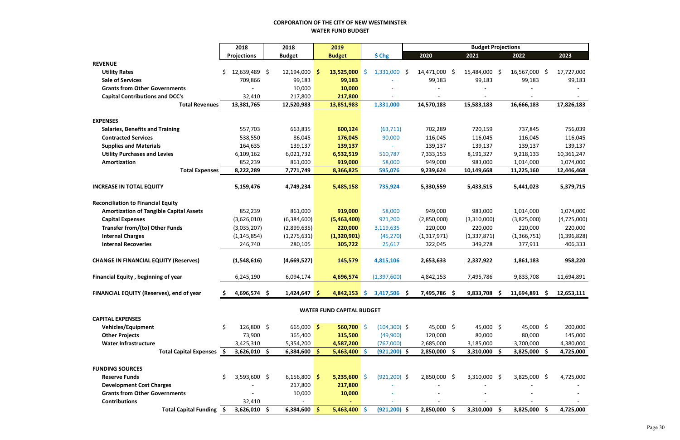#### **CORPORATION OF THE CITY OF NEW WESTMINSTER WATER FUND BUDGET**

|                                                | 2018                | 2018          |                | 2019                             |     |                 | <b>Budget Projections</b> |               |                |     |                |     |             |
|------------------------------------------------|---------------------|---------------|----------------|----------------------------------|-----|-----------------|---------------------------|---------------|----------------|-----|----------------|-----|-------------|
|                                                | <b>Projections</b>  | <b>Budget</b> |                | <b>Budget</b>                    |     | \$ Chg          |                           | 2020          | 2021           |     | 2022           |     | 2023        |
| <b>REVENUE</b>                                 |                     |               |                |                                  |     |                 |                           |               |                |     |                |     |             |
| <b>Utility Rates</b>                           | 12,639,489 \$<br>S. | 12,194,000    | -S             | 13,525,000                       | -S  | $1,331,000$ \$  |                           | 14,471,000 \$ | 15,484,000 \$  |     | 16,567,000 \$  |     | 17,727,000  |
| <b>Sale of Services</b>                        | 709,866             |               | 99,183         | 99,183                           |     |                 |                           | 99,183        | 99,183         |     | 99,183         |     | 99,183      |
| <b>Grants from Other Governments</b>           |                     |               | 10,000         | 10,000                           |     |                 |                           |               |                |     |                |     |             |
| <b>Capital Contributions and DCC's</b>         | 32,410              | 217,800       |                | 217,800                          |     |                 |                           |               |                |     |                |     |             |
| <b>Total Revenues</b>                          | 13,381,765          | 12,520,983    |                | 13,851,983                       |     | 1,331,000       |                           | 14,570,183    | 15,583,183     |     | 16,666,183     |     | 17,826,183  |
|                                                |                     |               |                |                                  |     |                 |                           |               |                |     |                |     |             |
| <b>EXPENSES</b>                                |                     |               |                |                                  |     |                 |                           |               |                |     |                |     |             |
| <b>Salaries, Benefits and Training</b>         | 557,703             | 663,835       |                | 600,124                          |     | (63, 711)       |                           | 702,289       | 720,159        |     | 737,845        |     | 756,039     |
| <b>Contracted Services</b>                     | 538,550             |               | 86,045         | 176,045                          |     | 90,000          |                           | 116,045       | 116,045        |     | 116,045        |     | 116,045     |
| <b>Supplies and Materials</b>                  | 164,635             | 139,137       |                | 139,137                          |     | $\sim$          |                           | 139,137       | 139,137        |     | 139,137        |     | 139,137     |
| <b>Utility Purchases and Levies</b>            | 6,109,162           | 6,021,732     |                | 6,532,519                        |     | 510,787         |                           | 7,333,153     | 8,191,327      |     | 9,218,133      |     | 10,361,247  |
| Amortization                                   | 852,239             | 861,000       |                | 919,000                          |     | 58,000          |                           | 949,000       | 983,000        |     | 1,014,000      |     | 1,074,000   |
| <b>Total Expenses</b>                          | 8,222,289           | 7,771,749     |                | 8,366,825                        |     | 595,076         |                           | 9,239,624     | 10,149,668     |     | 11,225,160     |     | 12,446,468  |
| <b>INCREASE IN TOTAL EQUITY</b>                | 5,159,476           | 4,749,234     |                | 5,485,158                        |     | 735,924         |                           | 5,330,559     | 5,433,515      |     | 5,441,023      |     | 5,379,715   |
| <b>Reconciliation to Financial Equity</b>      |                     |               |                |                                  |     |                 |                           |               |                |     |                |     |             |
| <b>Amortization of Tangible Capital Assets</b> | 852,239             |               | 861,000        | 919,000                          |     | 58,000          |                           | 949,000       | 983,000        |     | 1,014,000      |     | 1,074,000   |
| <b>Capital Expenses</b>                        | (3,626,010)         | (6,384,600)   |                | (5,463,400)                      |     | 921,200         |                           | (2,850,000)   | (3,310,000)    |     | (3,825,000)    |     | (4,725,000) |
| <b>Transfer from/(to) Other Funds</b>          | (3,035,207)         | (2,899,635)   |                | 220,000                          |     | 3,119,635       |                           | 220,000       | 220,000        |     | 220,000        |     | 220,000     |
| <b>Internal Charges</b>                        | (1, 145, 854)       | (1, 275, 631) |                | (1,320,901)                      |     | (45, 270)       |                           | (1,317,971)   | (1, 337, 871)  |     | (1,366,751)    |     | (1,396,828) |
| <b>Internal Recoveries</b>                     | 246,740             | 280,105       |                | 305,722                          |     | 25,617          |                           | 322,045       | 349,278        |     | 377,911        |     | 406,333     |
| <b>CHANGE IN FINANCIAL EQUITY (Reserves)</b>   | (1,548,616)         | (4,669,527)   |                | 145,579                          |     | 4,815,106       |                           | 2,653,633     | 2,337,922      |     | 1,861,183      |     | 958,220     |
| <b>Financial Equity, beginning of year</b>     | 6,245,190           | 6,094,174     |                | 4,696,574                        |     | (1,397,600)     |                           | 4,842,153     | 7,495,786      |     | 9,833,708      |     | 11,694,891  |
|                                                |                     |               |                |                                  |     |                 |                           |               |                |     |                |     |             |
| FINANCIAL EQUITY (Reserves), end of year       | 4,696,574 \$        | 1,424,647     | -\$            | 4,842,153                        | -\$ | 3,417,506 \$    |                           | 7,495,786 \$  | 9,833,708      | -\$ | 11,694,891     | -\$ | 12,653,111  |
|                                                |                     |               |                | <b>WATER FUND CAPITAL BUDGET</b> |     |                 |                           |               |                |     |                |     |             |
| <b>CAPITAL EXPENSES</b>                        |                     |               |                |                                  |     |                 |                           |               |                |     |                |     |             |
| <b>Vehicles/Equipment</b>                      | \$<br>126,800 \$    |               | $665,000$ \$   | $560,700$ \$                     |     | $(104, 300)$ \$ |                           | 45,000 \$     | 45,000 \$      |     | 45,000 \$      |     | 200,000     |
| <b>Other Projects</b>                          | 73,900              | 365,400       |                | 315,500                          |     | (49,900)        |                           | 120,000       | 80,000         |     | 80,000         |     | 145,000     |
| <b>Water Infrastructure</b>                    | 3,425,310           | 5,354,200     |                | 4,587,200                        |     | (767,000)       |                           | 2,685,000     | 3,185,000      |     | 3,700,000      |     | 4,380,000   |
| Total Capital Expenses \$                      | $3,626,010$ \$      |               | $6,384,600$ \$ | $5,463,400$ \$                   |     | $(921, 200)$ \$ |                           | 2,850,000 \$  | $3,310,000$ \$ |     | 3,825,000 \$   |     | 4,725,000   |
| <b>FUNDING SOURCES</b>                         |                     |               |                |                                  |     |                 |                           |               |                |     |                |     |             |
| <b>Reserve Funds</b>                           | 3,593,600 \$        |               | 6,156,800 \$   | $5,235,600$ \$                   |     | $(921, 200)$ \$ |                           | 2,850,000 \$  | $3,310,000$ \$ |     | $3,825,000$ \$ |     | 4,725,000   |
| <b>Development Cost Charges</b>                |                     | 217,800       |                | 217,800                          |     |                 |                           |               |                |     |                |     |             |
| <b>Grants from Other Governments</b>           |                     |               | 10,000         | 10,000                           |     |                 |                           |               |                |     |                |     |             |
| <b>Contributions</b>                           | 32,410              |               |                |                                  |     |                 |                           |               |                |     |                |     |             |
| Total Capital Funding \$                       | $3,626,010$ \$      |               | $6,384,600$ \$ | $5,463,400$ \$                   |     | $(921, 200)$ \$ |                           | 2,850,000 \$  | 3,310,000 \$   |     | 3,825,000 \$   |     | 4,725,000   |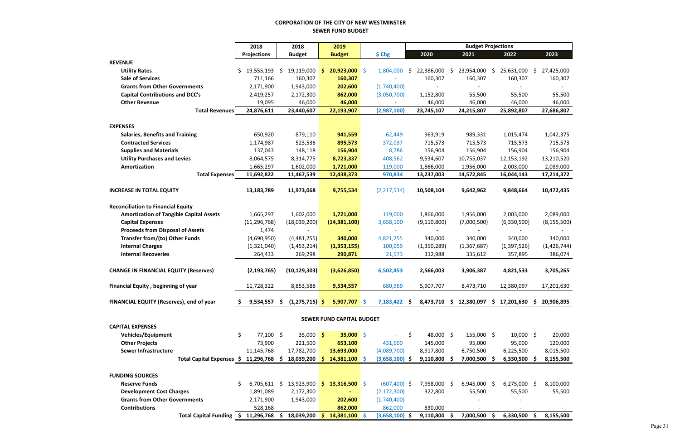#### **CORPORATION OF THE CITY OF NEW WESTMINSTER SEWER FUND BUDGET**

|                                                | 2018               |                |    | 2018             |              | 2019                             |                   | <b>Budget Projections</b> |               |     |              |    |                                                     |      |               |
|------------------------------------------------|--------------------|----------------|----|------------------|--------------|----------------------------------|-------------------|---------------------------|---------------|-----|--------------|----|-----------------------------------------------------|------|---------------|
|                                                | <b>Projections</b> |                |    | <b>Budget</b>    |              | <b>Budget</b>                    | \$ <sub>chg</sub> |                           | 2020          |     | 2021         |    | 2022                                                |      | 2023          |
| <b>REVENUE</b>                                 |                    |                |    |                  |              |                                  |                   |                           |               |     |              |    |                                                     |      |               |
| <b>Utility Rates</b>                           | \$.                | 19,555,193     | \$ | 19,119,000       | $\mathsf{S}$ | $20,923,000$ \$                  | 1,804,000         | \$.                       | 22,386,000    | \$  | 23,954,000   | \$ | 25,631,000                                          | \$   | 27,425,000    |
| <b>Sale of Services</b>                        |                    | 711,166        |    | 160,307          |              | 160,307                          |                   |                           | 160,307       |     | 160,307      |    | 160,307                                             |      | 160,307       |
| <b>Grants from Other Governments</b>           |                    | 2,171,900      |    | 1,943,000        |              | 202,600                          | (1,740,400)       |                           |               |     |              |    |                                                     |      |               |
| <b>Capital Contributions and DCC's</b>         |                    | 2,419,257      |    | 2,172,300        |              | 862,000                          | (3,050,700)       |                           | 1,152,800     |     | 55,500       |    | 55,500                                              |      | 55,500        |
| <b>Other Revenue</b>                           |                    | 19,095         |    | 46,000           |              | 46,000                           |                   |                           | 46,000        |     | 46,000       |    | 46,000                                              |      | 46,000        |
| <b>Total Revenues</b>                          |                    | 24,876,611     |    | 23,440,607       |              | 22,193,907                       | (2,987,100)       |                           | 23,745,107    |     | 24,215,807   |    | 25,892,807                                          |      | 27,686,807    |
|                                                |                    |                |    |                  |              |                                  |                   |                           |               |     |              |    |                                                     |      |               |
| <b>EXPENSES</b>                                |                    |                |    |                  |              |                                  |                   |                           |               |     |              |    |                                                     |      |               |
| <b>Salaries, Benefits and Training</b>         |                    | 650,920        |    | 879,110          |              | 941,559                          | 62,449            |                           | 963,919       |     | 989,331      |    | 1,015,474                                           |      | 1,042,375     |
| <b>Contracted Services</b>                     |                    | 1,174,987      |    | 523,536          |              | 895,573                          | 372,037           |                           | 715,573       |     | 715,573      |    | 715,573                                             |      | 715,573       |
| <b>Supplies and Materials</b>                  |                    | 137,043        |    | 148,118          |              | 156,904                          | 8,786             |                           | 156,904       |     | 156,904      |    | 156,904                                             |      | 156,904       |
| <b>Utility Purchases and Levies</b>            |                    | 8,064,575      |    | 8,314,775        |              | 8,723,337                        | 408,562           |                           | 9,534,607     |     | 10,755,037   |    | 12,153,192                                          |      | 13,210,520    |
| Amortization                                   |                    | 1,665,297      |    | 1,602,000        |              | 1,721,000                        | 119,000           |                           | 1,866,000     |     | 1,956,000    |    | 2,003,000                                           |      | 2,089,000     |
| <b>Total Expenses</b>                          |                    | 11,692,822     |    | 11,467,539       |              | 12,438,373                       | 970,834           |                           | 13,237,003    |     | 14,572,845   |    | 16,044,143                                          |      | 17,214,372    |
| <b>INCREASE IN TOTAL EQUITY</b>                |                    | 13,183,789     |    | 11,973,068       |              | 9,755,534                        | (2, 217, 534)     |                           | 10,508,104    |     | 9,642,962    |    | 9,848,664                                           |      | 10,472,435    |
|                                                |                    |                |    |                  |              |                                  |                   |                           |               |     |              |    |                                                     |      |               |
| <b>Reconciliation to Financial Equity</b>      |                    |                |    |                  |              |                                  |                   |                           |               |     |              |    |                                                     |      |               |
| <b>Amortization of Tangible Capital Assets</b> |                    | 1,665,297      |    | 1,602,000        |              | 1,721,000                        | 119,000           |                           | 1,866,000     |     | 1,956,000    |    | 2,003,000                                           |      | 2,089,000     |
| <b>Capital Expenses</b>                        |                    | (11, 296, 768) |    | (18,039,200)     |              | (14, 381, 100)                   | 3,658,100         |                           | (9, 110, 800) |     | (7,000,500)  |    | (6,330,500)                                         |      | (8, 155, 500) |
| <b>Proceeds from Disposal of Assets</b>        |                    | 1,474          |    |                  |              |                                  |                   |                           |               |     |              |    |                                                     |      |               |
| <b>Transfer from/(to) Other Funds</b>          |                    | (4,690,950)    |    | (4,481,255)      |              | 340,000                          | 4,821,255         |                           | 340,000       |     | 340,000      |    | 340,000                                             |      | 340,000       |
| <b>Internal Charges</b>                        |                    | (1,321,040)    |    | (1,453,214)      |              | (1,353,155)                      | 100,059           |                           | (1,350,289)   |     | (1,367,687)  |    | (1, 397, 526)                                       |      | (1,426,744)   |
| <b>Internal Recoveries</b>                     |                    | 264,433        |    | 269,298          |              | 290,871                          | 21,573            |                           | 312,988       |     | 335,612      |    | 357,895                                             |      | 386,074       |
|                                                |                    |                |    |                  |              |                                  |                   |                           |               |     |              |    |                                                     |      |               |
| <b>CHANGE IN FINANCIAL EQUITY (Reserves)</b>   |                    | (2, 193, 765)  |    | (10, 129, 303)   |              | (3,626,850)                      | 6,502,453         |                           | 2,566,003     |     | 3,906,387    |    | 4,821,533                                           |      | 3,705,265     |
| <b>Financial Equity, beginning of year</b>     |                    | 11,728,322     |    | 8,853,588        |              | 9,534,557                        | 680,969           |                           | 5,907,707     |     | 8,473,710    |    | 12,380,097                                          |      | 17,201,630    |
|                                                |                    |                |    |                  |              |                                  |                   |                           |               |     |              |    |                                                     |      |               |
| FINANCIAL EQUITY (Reserves), end of year       |                    | $9,534,557$ \$ |    | $(1,275,715)$ \$ |              | $5,907,707$ \$                   | $7,183,422$ \$    |                           |               |     |              |    | 8,473,710 \$ 12,380,097 \$ 17,201,630 \$ 20,906,895 |      |               |
|                                                |                    |                |    |                  |              | <b>SEWER FUND CAPITAL BUDGET</b> |                   |                           |               |     |              |    |                                                     |      |               |
| <b>CAPITAL EXPENSES</b>                        |                    |                |    |                  |              |                                  |                   |                           |               |     |              |    |                                                     |      |               |
| <b>Vehicles/Equipment</b>                      | \$                 | $77,100$ \$    |    | 35,000 \$        |              | $35,000$ \$                      |                   | \$                        | 48,000 \$     |     | 155,000 \$   |    | $10,000$ \$                                         |      | 20,000        |
| <b>Other Projects</b>                          |                    | 73,900         |    | 221,500          |              | 653,100                          | 431,600           |                           | 145,000       |     | 95,000       |    | 95,000                                              |      | 120,000       |
| <b>Sewer Infrastructure</b>                    |                    | 11,145,768     |    | 17,782,700       |              | 13,693,000                       | (4,089,700)       |                           | 8,917,800     |     | 6,750,500    |    | 6,225,500                                           |      | 8,015,500     |
| Total Capital Expenses \$ 11,296,768           |                    |                | S. | 18,039,200       | -S           | $14,381,100$ \$                  | $(3,658,100)$ \$  |                           | 9,110,800     | -S  | 7,000,500    |    | $6,330,500$ \$                                      |      | 8,155,500     |
|                                                |                    |                |    |                  |              |                                  |                   |                           |               |     |              |    |                                                     |      |               |
| <b>FUNDING SOURCES</b>                         |                    |                |    |                  |              |                                  |                   |                           |               |     |              |    |                                                     |      |               |
| <b>Reserve Funds</b>                           | \$                 | $6,705,611$ \$ |    | 13,923,900       | \$.          | $13,316,500$ \$                  | $(607, 400)$ \$   |                           | 7,958,000     | -\$ | 6,945,000 \$ |    | $6,275,000$ \$                                      |      | 8,100,000     |
| <b>Development Cost Charges</b>                |                    | 1,891,089      |    | 2,172,300        |              |                                  | (2, 172, 300)     |                           | 322,800       |     | 55,500       |    | 55,500                                              |      | 55,500        |
| <b>Grants from Other Governments</b>           |                    | 2,171,900      |    | 1,943,000        |              | 202,600                          | (1,740,400)       |                           |               |     |              |    |                                                     |      |               |
| <b>Contributions</b>                           |                    | 528,168        |    |                  |              | 862,000                          | 862,000           |                           | 830,000       |     |              |    |                                                     |      |               |
| Total Capital Funding \$                       |                    | 11,296,768     | S. | 18,039,200       | -S           | $14,381,100$ \$                  | $(3,658,100)$ \$  |                           | 9,110,800     | -S  | 7,000,500    |    | 6,330,500                                           | - \$ | 8,155,500     |
|                                                |                    |                |    |                  |              |                                  |                   |                           |               |     |              |    |                                                     |      |               |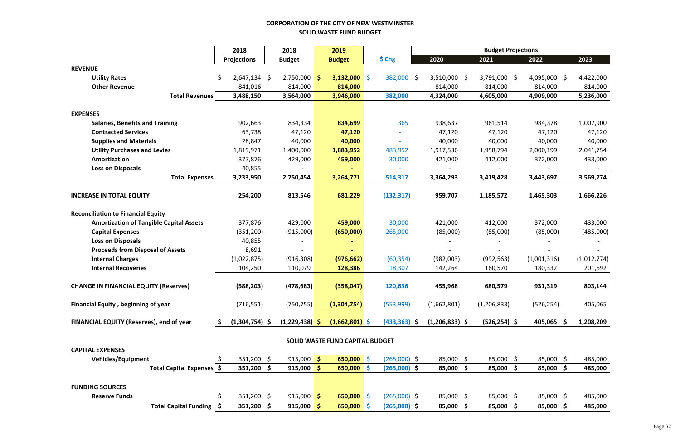## **CORPORATION OF THE CITY OF NEW WESTMINSTER SOLID WASTE FUND BUDGET**

|                                                |     | 2018               |         | 2018             |               | 2019                            |          |                   |         |                        | <b>Budget Projections</b> |  |                |             |  |
|------------------------------------------------|-----|--------------------|---------|------------------|---------------|---------------------------------|----------|-------------------|---------|------------------------|---------------------------|--|----------------|-------------|--|
|                                                |     | <b>Projections</b> |         | <b>Budget</b>    |               | <b>Budget</b>                   |          | \$ <sub>chg</sub> |         | 2020                   | 2021                      |  | 2022           | 2023        |  |
| <b>REVENUE</b>                                 |     |                    |         |                  |               |                                 |          |                   |         |                        |                           |  |                |             |  |
| <b>Utility Rates</b>                           | \$. | 2,647,134          | $\zeta$ | $2,750,000$ \$   |               | $3,132,000$ \$                  |          | 382,000 \$        |         | $3,510,000$ \$         | 3,791,000 \$              |  | $4,095,000$ \$ | 4,422,000   |  |
| <b>Other Revenue</b>                           |     | 841,016            |         | 814,000          |               | 814,000                         |          |                   |         | 814,000                | 814,000                   |  | 814,000        | 814,000     |  |
| <b>Total Revenues</b>                          |     | 3,488,150          |         | 3,564,000        |               | 3,946,000                       |          | 382,000           |         | 4,324,000              | 4,605,000                 |  | 4,909,000      | 5,236,000   |  |
|                                                |     |                    |         |                  |               |                                 |          |                   |         |                        |                           |  |                |             |  |
| <b>EXPENSES</b>                                |     |                    |         |                  |               |                                 |          |                   |         |                        |                           |  |                |             |  |
| <b>Salaries, Benefits and Training</b>         |     | 902,663            |         | 834,334          |               | 834,699                         |          | 365               |         | 938,637                | 961,514                   |  | 984,378        | 1,007,900   |  |
| <b>Contracted Services</b>                     |     | 63,738             |         | 47,120           |               | 47,120                          |          |                   |         | 47,120                 | 47,120                    |  | 47,120         | 47,120      |  |
| <b>Supplies and Materials</b>                  |     | 28,847             |         | 40,000           |               | 40,000                          |          |                   |         | 40,000                 | 40,000                    |  | 40,000         | 40,000      |  |
| <b>Utility Purchases and Levies</b>            |     | 1,819,971          |         | 1,400,000        |               | 1,883,952                       |          | 483,952           |         | 1,917,536              | 1,958,794                 |  | 2,000,199      | 2,041,754   |  |
| Amortization                                   |     | 377,876            |         | 429,000          |               | 459,000                         |          | 30,000            |         | 421,000                | 412,000                   |  | 372,000        | 433,000     |  |
| <b>Loss on Disposals</b>                       |     | 40,855             |         |                  |               |                                 |          |                   |         |                        |                           |  |                |             |  |
| <b>Total Expenses</b>                          |     | 3,233,950          |         | 2,750,454        |               | 3,264,771                       |          | 514,317           |         | 3,364,293              | 3,419,428                 |  | 3,443,697      | 3,569,774   |  |
| <b>INCREASE IN TOTAL EQUITY</b>                |     | 254,200            |         | 813,546          |               | 681,229                         |          | (132, 317)        |         | 959,707                | 1,185,572                 |  | 1,465,303      | 1,666,226   |  |
|                                                |     |                    |         |                  |               |                                 |          |                   |         |                        |                           |  |                |             |  |
| <b>Reconciliation to Financial Equity</b>      |     |                    |         |                  |               |                                 |          |                   |         |                        |                           |  |                |             |  |
| <b>Amortization of Tangible Capital Assets</b> |     | 377,876            |         | 429,000          |               | 459,000                         |          | 30,000            |         | 421,000                | 412,000                   |  | 372,000        | 433,000     |  |
| <b>Capital Expenses</b>                        |     | (351, 200)         |         | (915,000)        |               | (650,000)                       |          | 265,000           |         | (85,000)               | (85,000)                  |  | (85,000)       | (485,000)   |  |
| <b>Loss on Disposals</b>                       |     | 40,855             |         |                  |               |                                 |          |                   |         |                        |                           |  |                |             |  |
| <b>Proceeds from Disposal of Assets</b>        |     | 8,691              |         |                  |               |                                 |          |                   |         |                        |                           |  |                |             |  |
| <b>Internal Charges</b>                        |     | (1,022,875)        |         | (916, 308)       |               | (976, 662)                      |          | (60, 354)         |         | (982,003)              | (992, 563)                |  | (1,001,316)    | (1,012,774) |  |
| <b>Internal Recoveries</b>                     |     | 104,250            |         | 110,079          |               | 128,386                         |          | 18,307            | 142,264 |                        | 160,570                   |  | 180,332        | 201,692     |  |
| <b>CHANGE IN FINANCIAL EQUITY (Reserves)</b>   |     | (588, 203)         |         | (478, 683)       |               | (358, 047)                      |          | 120,636           |         | 455,968                | 680,579                   |  | 931,319        | 803,144     |  |
|                                                |     |                    |         |                  |               |                                 |          |                   |         |                        |                           |  |                |             |  |
| <b>Financial Equity, beginning of year</b>     |     | (716, 551)         |         | (750, 755)       |               | (1,304,754)                     |          | (553,999)         |         | (1,662,801)            | (1, 206, 833)             |  | (526, 254)     | 405,065     |  |
| FINANCIAL EQUITY (Reserves), end of year       | -Ş  | $(1,304,754)$ \$   |         | $(1,229,438)$ \$ |               | $(1,662,801)$ \$                |          | $(433, 363)$ \$   |         | $(1,206,833)$ \$       | $(526, 254)$ \$           |  | 405,065 \$     | 1,208,209   |  |
|                                                |     |                    |         |                  |               |                                 |          |                   |         |                        |                           |  |                |             |  |
|                                                |     |                    |         |                  |               | SOLID WASTE FUND CAPITAL BUDGET |          |                   |         |                        |                           |  |                |             |  |
| <b>CAPITAL EXPENSES</b>                        |     |                    |         |                  |               |                                 |          |                   |         |                        |                           |  |                |             |  |
| <b>Vehicles/Equipment</b>                      | S   | 351,200 \$         |         | 915,000 \$       |               | $650,000$ \$                    |          | $(265,000)$ \$    |         | $85,000$ \$            | $85,000$ \$               |  | $85,000$ \$    | 485,000     |  |
| Total Capital Expenses \$                      |     | 351,200 \$         |         | 915,000          | -\$           | 650,000                         | <b>S</b> | $(265,000)$ \$    |         | 85,000 \$              | 85,000 \$                 |  | 85,000 \$      | 485,000     |  |
|                                                |     |                    |         |                  |               |                                 |          |                   |         |                        |                           |  |                |             |  |
| <b>FUNDING SOURCES</b>                         |     |                    |         |                  |               |                                 |          |                   |         |                        |                           |  |                |             |  |
| <b>Reserve Funds</b>                           | \$  | $351,200$ \$       |         | 915,000 \$       |               | $650,000$ \$                    |          | $(265,000)$ \$    |         | $85,000$ \$            | $85,000$ \$               |  | $85,000$ \$    | 485,000     |  |
| <b>Total Capital Funding</b>                   |     | 351,200 \$         |         | 915,000          | $\frac{1}{2}$ | $650,000$ \$                    |          | $(265,000)$ \$    |         | 85,000<br>$\mathsf{S}$ | 85,000 \$                 |  | 85,000<br>-\$  | 485,000     |  |
|                                                |     |                    |         |                  |               |                                 |          |                   |         |                        |                           |  |                |             |  |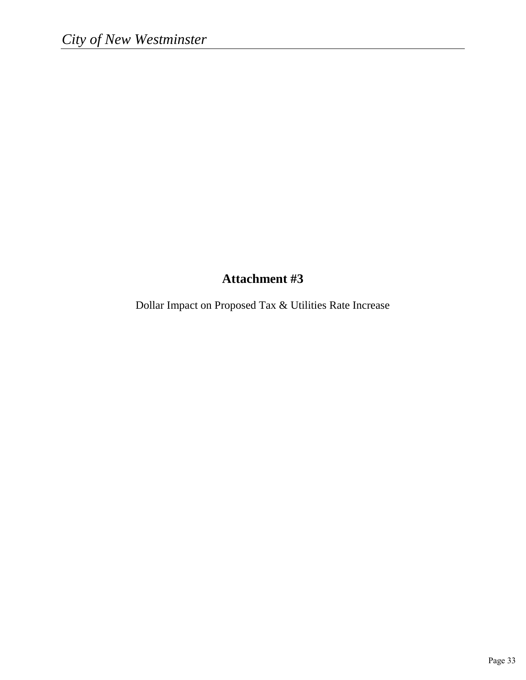## **Attachment #3**

Dollar Impact on Proposed Tax & Utilities Rate Increase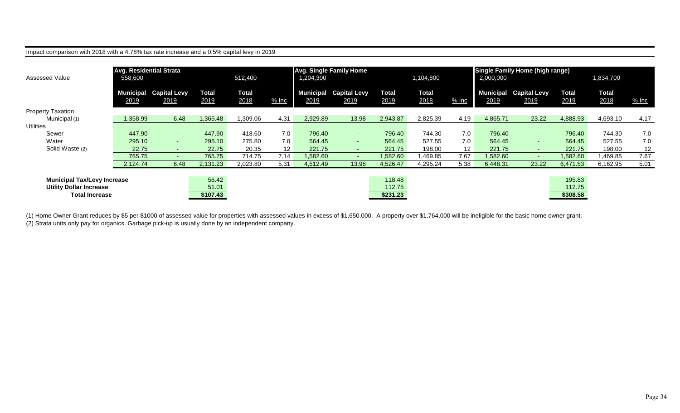| Impact comparison with 2018 with a 4.78% tax rate increase and a 0.5% capital levy in 2019 |                                                      |                                       |                      |                      |                   |           |                                       |                      |                      |                 |                                                                  |                             |                      |                      |         |
|--------------------------------------------------------------------------------------------|------------------------------------------------------|---------------------------------------|----------------------|----------------------|-------------------|-----------|---------------------------------------|----------------------|----------------------|-----------------|------------------------------------------------------------------|-----------------------------|----------------------|----------------------|---------|
| <b>Assessed Value</b>                                                                      | <b>Avg. Residential Strata</b><br>512,400<br>558,600 |                                       |                      |                      |                   | 1,204,300 | <b>Avg. Single Family Home</b>        |                      | 1,104,800            |                 | <b>Single Family Home (high range)</b><br>1,834,700<br>2,000,000 |                             |                      |                      |         |
|                                                                                            | 2019                                                 | <b>Municipal Capital Levy</b><br>2019 | <b>Total</b><br>2019 | <b>Total</b><br>2018 | $%$ Inc           | 2019      | <b>Municipal Capital Levy</b><br>2019 | <b>Total</b><br>2019 | <b>Total</b><br>2018 | $%$ Inc         | Municipal<br>2019                                                | <b>Capital Levy</b><br>2019 | <b>Total</b><br>2019 | <b>Total</b><br>2018 | $%$ Inc |
| <b>Property Taxation</b>                                                                   |                                                      |                                       |                      |                      |                   |           |                                       |                      |                      |                 |                                                                  |                             |                      |                      |         |
| Municipal (1)                                                                              | 1,358.99                                             | 6.48                                  | 1,365.48             | 1,309.06             | 4.31              | 2,929.89  | 13.98                                 | 2,943.87             | 2,825.39             | 4.19            | 4,865.71                                                         | 23.22                       | 4,888.93             | 4,693.10             | 4.17    |
| <b>Utilities</b>                                                                           |                                                      |                                       |                      |                      |                   |           |                                       |                      |                      |                 |                                                                  |                             |                      |                      |         |
| Sewer                                                                                      | 447.90                                               | the control                           | 447.90               | 418.60               | 7.0               | 796.40    | $\sim$                                | 796.40               | 744.30               | 7.0             | 796.40                                                           | $\sim$                      | 796.40               | 744.30               | 7.0     |
| Water                                                                                      | 295.10                                               | $\sim$                                | 295.10               | 275.80               | 7.0               | 564.45    | $\sim$                                | 564.45               | 527.55               | 7.0             | 564.45                                                           | $\sim$                      | 564.45               | 527.55               | 7.0     |
| Solid Waste (2)                                                                            | 22.75                                                | <b>Section</b>                        | 22.75                | 20.35                | $12 \overline{ }$ | 221.75    | $\sim$                                | 221.75               | 198.00               | 12 <sup>2</sup> | 221.75                                                           | $\sim$                      | 221.75               | 198.00               | 12      |
|                                                                                            | 765.75                                               | н.                                    | 765.75               | 714.75               | 7.14              | .582.60   | $\sim$                                | 1,582.60             | 1,469.85             | 7.67            | 1,582.60                                                         | $\sim$ 10 $\pm$             | 1,582.60             | .469.85              | 7.67    |
|                                                                                            | 2,124.74                                             | 6.48                                  | 2,131.23             | 2,023.80             | 5.31              | 4,512.49  | 13.98                                 | 4,526.47             | 4,295.24             | 5.38            | 6,448.31                                                         | 23.22                       | 6,471.53             | 6,162.95             | 5.01    |
|                                                                                            |                                                      |                                       |                      |                      |                   |           |                                       |                      |                      |                 |                                                                  |                             |                      |                      |         |
| <b>Municipal Tax/Levy Increase</b>                                                         |                                                      |                                       | 56.42                |                      |                   |           |                                       | 118.48               |                      |                 |                                                                  |                             | 195.83               |                      |         |
| <b>Utility Dollar Increase</b>                                                             |                                                      |                                       | 51.01                |                      |                   |           |                                       | 112.75               |                      |                 |                                                                  |                             | 112.75               |                      |         |
| <b>Total Increase</b>                                                                      |                                                      |                                       | \$107.43             |                      |                   |           |                                       | \$231.23             |                      |                 |                                                                  |                             | \$308.58             |                      |         |

(1) Home Owner Grant reduces by \$5 per \$1000 of assessed value for properties with assessed values in excess of \$1,650,000. A property over \$1,764,000 will be ineligible for the basic home owner grant. (2) Strata units only pay for organics. Garbage pick-up is usually done by an independent company.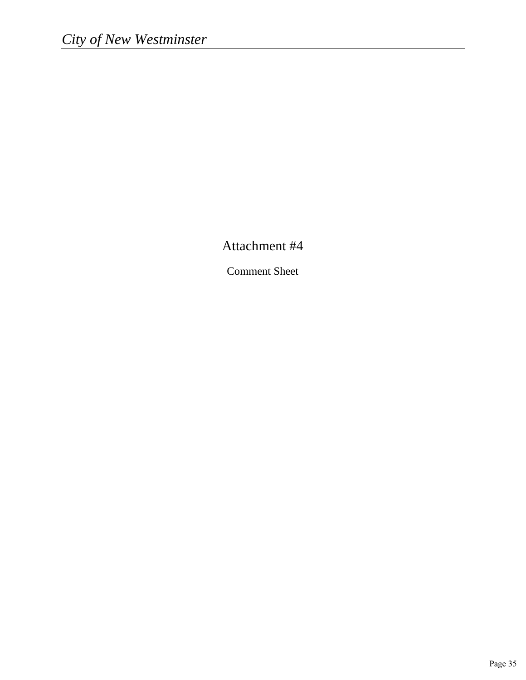Attachment #4

Comment Sheet